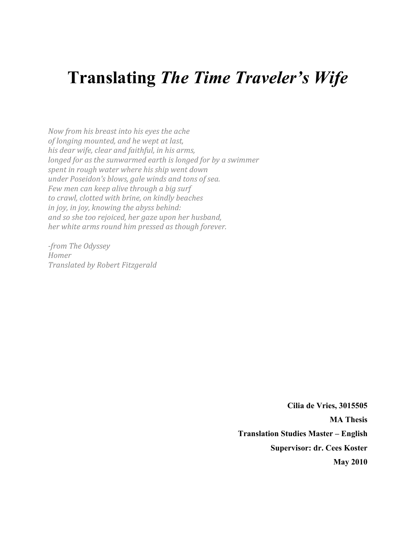# **Translating** *The Time Traveler's Wife*

*Now from his breast into his eyes the ache of longing mounted, and he wept at last, his dear wife, clear and faithful, in his arms, longed for as the sunwarmed earth is longed for by a swimmer spent in rough water where his ship went down under Poseidon's blows, gale winds and tons of sea. Few men can keep alive through a big surf to crawl, clotted with brine, on kindly beaches in joy, in joy, knowing the abyss behind: and so she too rejoiced, her gaze upon her husband, her white arms round him pressed as though forever.* 

*-from The Odyssey Homer Translated by Robert Fitzgerald* 

> **Cilia de Vries, 3015505 MA Thesis Translation Studies Master – English Supervisor: dr. Cees Koster May 2010**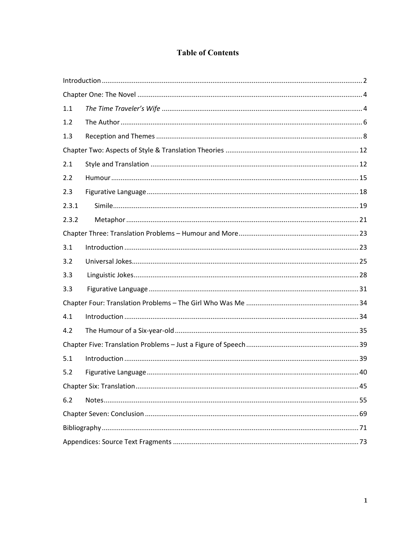# **Table of Contents**

| 1.1   |  |  |  |
|-------|--|--|--|
| 1.2   |  |  |  |
| 1.3   |  |  |  |
|       |  |  |  |
| 2.1   |  |  |  |
| 2.2   |  |  |  |
| 2.3   |  |  |  |
| 2.3.1 |  |  |  |
| 2.3.2 |  |  |  |
|       |  |  |  |
| 3.1   |  |  |  |
| 3.2   |  |  |  |
| 3.3   |  |  |  |
| 3.3   |  |  |  |
|       |  |  |  |
| 4.1   |  |  |  |
| 4.2   |  |  |  |
|       |  |  |  |
| 5.1   |  |  |  |
| 5.2   |  |  |  |
|       |  |  |  |
| 6.2   |  |  |  |
|       |  |  |  |
|       |  |  |  |
|       |  |  |  |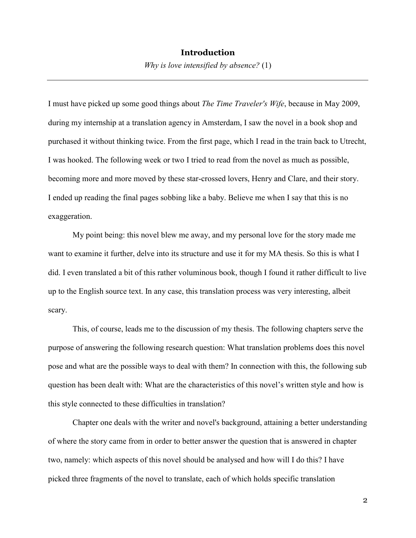I must have picked up some good things about *The Time Traveler's Wife*, because in May 2009, during my internship at a translation agency in Amsterdam, I saw the novel in a book shop and purchased it without thinking twice. From the first page, which I read in the train back to Utrecht, I was hooked. The following week or two I tried to read from the novel as much as possible, becoming more and more moved by these star-crossed lovers, Henry and Clare, and their story. I ended up reading the final pages sobbing like a baby. Believe me when I say that this is no exaggeration.

My point being: this novel blew me away, and my personal love for the story made me want to examine it further, delve into its structure and use it for my MA thesis. So this is what I did. I even translated a bit of this rather voluminous book, though I found it rather difficult to live up to the English source text. In any case, this translation process was very interesting, albeit scary.

This, of course, leads me to the discussion of my thesis. The following chapters serve the purpose of answering the following research question: What translation problems does this novel pose and what are the possible ways to deal with them? In connection with this, the following sub question has been dealt with: What are the characteristics of this novel's written style and how is this style connected to these difficulties in translation?

Chapter one deals with the writer and novel's background, attaining a better understanding of where the story came from in order to better answer the question that is answered in chapter two, namely: which aspects of this novel should be analysed and how will I do this? I have picked three fragments of the novel to translate, each of which holds specific translation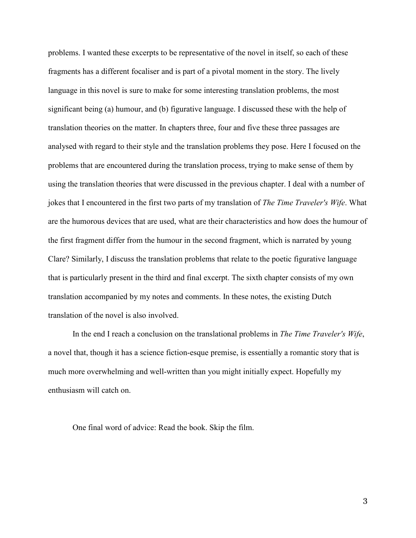problems. I wanted these excerpts to be representative of the novel in itself, so each of these fragments has a different focaliser and is part of a pivotal moment in the story. The lively language in this novel is sure to make for some interesting translation problems, the most significant being (a) humour, and (b) figurative language. I discussed these with the help of translation theories on the matter. In chapters three, four and five these three passages are analysed with regard to their style and the translation problems they pose. Here I focused on the problems that are encountered during the translation process, trying to make sense of them by using the translation theories that were discussed in the previous chapter. I deal with a number of jokes that I encountered in the first two parts of my translation of *The Time Traveler's Wife*. What are the humorous devices that are used, what are their characteristics and how does the humour of the first fragment differ from the humour in the second fragment, which is narrated by young Clare? Similarly, I discuss the translation problems that relate to the poetic figurative language that is particularly present in the third and final excerpt. The sixth chapter consists of my own translation accompanied by my notes and comments. In these notes, the existing Dutch translation of the novel is also involved.

In the end I reach a conclusion on the translational problems in *The Time Traveler's Wife*, a novel that, though it has a science fiction-esque premise, is essentially a romantic story that is much more overwhelming and well-written than you might initially expect. Hopefully my enthusiasm will catch on.

One final word of advice: Read the book. Skip the film.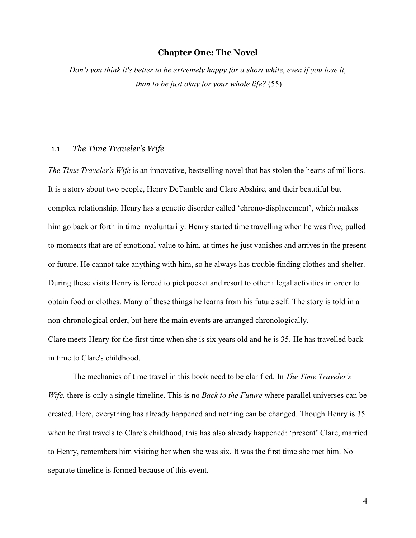#### **Chapter One: The Novel**

*Don't you think it's better to be extremely happy for a short while, even if you lose it, than to be just okay for your whole life?* (55)

#### 1.1 *The Time Traveler's Wife*

*The Time Traveler's Wife* is an innovative, bestselling novel that has stolen the hearts of millions. It is a story about two people, Henry DeTamble and Clare Abshire, and their beautiful but complex relationship. Henry has a genetic disorder called 'chrono-displacement', which makes him go back or forth in time involuntarily. Henry started time travelling when he was five; pulled to moments that are of emotional value to him, at times he just vanishes and arrives in the present or future. He cannot take anything with him, so he always has trouble finding clothes and shelter. During these visits Henry is forced to pickpocket and resort to other illegal activities in order to obtain food or clothes. Many of these things he learns from his future self. The story is told in a non-chronological order, but here the main events are arranged chronologically. Clare meets Henry for the first time when she is six years old and he is 35. He has travelled back in time to Clare's childhood.

 The mechanics of time travel in this book need to be clarified. In *The Time Traveler's Wife,* there is only a single timeline. This is no *Back to the Future* where parallel universes can be created. Here, everything has already happened and nothing can be changed. Though Henry is 35 when he first travels to Clare's childhood, this has also already happened: 'present' Clare, married to Henry, remembers him visiting her when she was six. It was the first time she met him. No separate timeline is formed because of this event.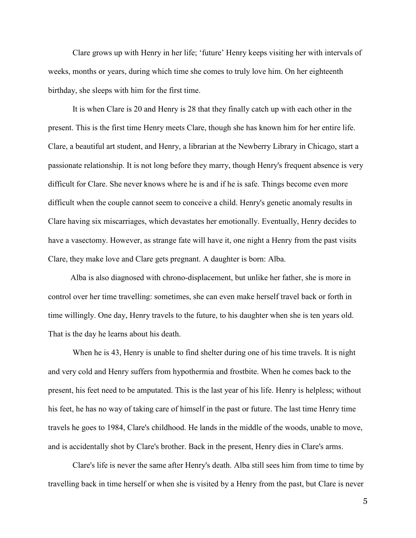Clare grows up with Henry in her life; 'future' Henry keeps visiting her with intervals of weeks, months or years, during which time she comes to truly love him. On her eighteenth birthday, she sleeps with him for the first time.

 It is when Clare is 20 and Henry is 28 that they finally catch up with each other in the present. This is the first time Henry meets Clare, though she has known him for her entire life. Clare, a beautiful art student, and Henry, a librarian at the Newberry Library in Chicago, start a passionate relationship. It is not long before they marry, though Henry's frequent absence is very difficult for Clare. She never knows where he is and if he is safe. Things become even more difficult when the couple cannot seem to conceive a child. Henry's genetic anomaly results in Clare having six miscarriages, which devastates her emotionally. Eventually, Henry decides to have a vasectomy. However, as strange fate will have it, one night a Henry from the past visits Clare, they make love and Clare gets pregnant. A daughter is born: Alba.

 Alba is also diagnosed with chrono-displacement, but unlike her father, she is more in control over her time travelling: sometimes, she can even make herself travel back or forth in time willingly. One day, Henry travels to the future, to his daughter when she is ten years old. That is the day he learns about his death.

 When he is 43, Henry is unable to find shelter during one of his time travels. It is night and very cold and Henry suffers from hypothermia and frostbite. When he comes back to the present, his feet need to be amputated. This is the last year of his life. Henry is helpless; without his feet, he has no way of taking care of himself in the past or future. The last time Henry time travels he goes to 1984, Clare's childhood. He lands in the middle of the woods, unable to move, and is accidentally shot by Clare's brother. Back in the present, Henry dies in Clare's arms.

 Clare's life is never the same after Henry's death. Alba still sees him from time to time by travelling back in time herself or when she is visited by a Henry from the past, but Clare is never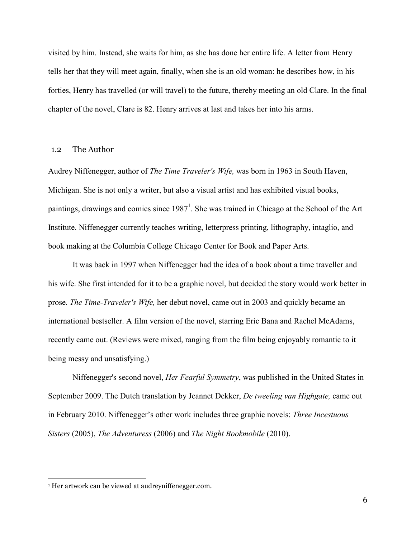visited by him. Instead, she waits for him, as she has done her entire life. A letter from Henry tells her that they will meet again, finally, when she is an old woman: he describes how, in his forties, Henry has travelled (or will travel) to the future, thereby meeting an old Clare. In the final chapter of the novel, Clare is 82. Henry arrives at last and takes her into his arms.

### 1.2 The Author

Audrey Niffenegger, author of *The Time Traveler's Wife,* was born in 1963 in South Haven, Michigan. She is not only a writer, but also a visual artist and has exhibited visual books, paintings, drawings and comics since  $1987<sup>1</sup>$ . She was trained in Chicago at the School of the Art Institute. Niffenegger currently teaches writing, letterpress printing, lithography, intaglio, and book making at the Columbia College Chicago Center for Book and Paper Arts.

It was back in 1997 when Niffenegger had the idea of a book about a time traveller and his wife. She first intended for it to be a graphic novel, but decided the story would work better in prose. *The Time-Traveler's Wife,* her debut novel, came out in 2003 and quickly became an international bestseller. A film version of the novel, starring Eric Bana and Rachel McAdams, recently came out. (Reviews were mixed, ranging from the film being enjoyably romantic to it being messy and unsatisfying.)

Niffenegger's second novel, *Her Fearful Symmetry*, was published in the United States in September 2009. The Dutch translation by Jeannet Dekker, *De tweeling van Highgate,* came out in February 2010. Niffenegger's other work includes three graphic novels: *Three Incestuous Sisters* (2005), *The Adventuress* (2006) and *The Night Bookmobile* (2010).

<sup>1</sup> Her artwork can be viewed at audreyniffenegger.com.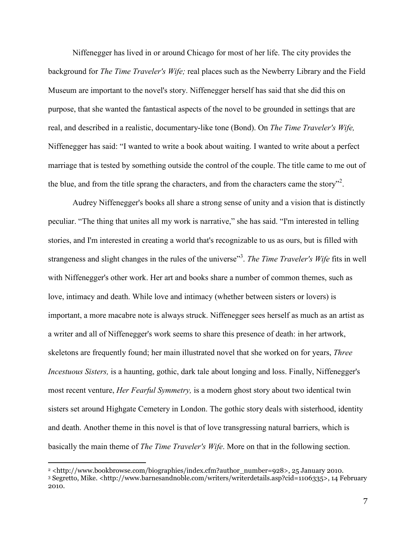Niffenegger has lived in or around Chicago for most of her life. The city provides the background for *The Time Traveler's Wife;* real places such as the Newberry Library and the Field Museum are important to the novel's story. Niffenegger herself has said that she did this on purpose, that she wanted the fantastical aspects of the novel to be grounded in settings that are real, and described in a realistic, documentary-like tone (Bond). On *The Time Traveler's Wife,*  Niffenegger has said: "I wanted to write a book about waiting. I wanted to write about a perfect marriage that is tested by something outside the control of the couple. The title came to me out of the blue, and from the title sprang the characters, and from the characters came the story"<sup>2</sup>.

 Audrey Niffenegger's books all share a strong sense of unity and a vision that is distinctly peculiar. "The thing that unites all my work is narrative," she has said. "I'm interested in telling stories, and I'm interested in creating a world that's recognizable to us as ours, but is filled with strangeness and slight changes in the rules of the universe"<sup>3</sup>. *The Time Traveler's Wife* fits in well with Niffenegger's other work. Her art and books share a number of common themes, such as love, intimacy and death. While love and intimacy (whether between sisters or lovers) is important, a more macabre note is always struck. Niffenegger sees herself as much as an artist as a writer and all of Niffenegger's work seems to share this presence of death: in her artwork, skeletons are frequently found; her main illustrated novel that she worked on for years, *Three Incestuous Sisters,* is a haunting, gothic, dark tale about longing and loss. Finally, Niffenegger's most recent venture, *Her Fearful Symmetry,* is a modern ghost story about two identical twin sisters set around Highgate Cemetery in London. The gothic story deals with sisterhood, identity and death. Another theme in this novel is that of love transgressing natural barriers, which is basically the main theme of *The Time Traveler's Wife*. More on that in the following section.

<sup>2</sup> <http://www.bookbrowse.com/biographies/index.cfm?author\_number=928>, 25 January 2010. <sup>3</sup> Segretto, Mike. <http://www.barnesandnoble.com/writers/writerdetails.asp?cid=1106335>, 14 February 2010.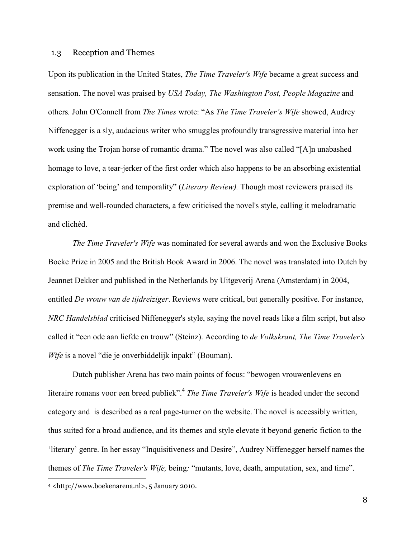## 1.3 Reception and Themes

Upon its publication in the United States, *The Time Traveler's Wife* became a great success and sensation. The novel was praised by *USA Today, The Washington Post, People Magazine* and others*.* John O'Connell from *The Times* wrote: "As *The Time Traveler's Wife* showed, Audrey Niffenegger is a sly, audacious writer who smuggles profoundly transgressive material into her work using the Trojan horse of romantic drama." The novel was also called "[A]n unabashed homage to love, a tear-jerker of the first order which also happens to be an absorbing existential exploration of 'being' and temporality" (*Literary Review).* Though most reviewers praised its premise and well-rounded characters, a few criticised the novel's style, calling it melodramatic and clichéd.

*The Time Traveler's Wife* was nominated for several awards and won the Exclusive Books Boeke Prize in 2005 and the British Book Award in 2006. The novel was translated into Dutch by Jeannet Dekker and published in the Netherlands by Uitgeverij Arena (Amsterdam) in 2004, entitled *De vrouw van de tijdreiziger*. Reviews were critical, but generally positive. For instance, *NRC Handelsblad* criticised Niffenegger's style, saying the novel reads like a film script, but also called it "een ode aan liefde en trouw" (Steinz). According to *de Volkskrant, The Time Traveler's Wife* is a novel "die je onverbiddelijk inpakt" (Bouman).

Dutch publisher Arena has two main points of focus: "bewogen vrouwenlevens en literaire romans voor een breed publiek".<sup>4</sup> The Time Traveler's Wife is headed under the second category and is described as a real page-turner on the website. The novel is accessibly written, thus suited for a broad audience, and its themes and style elevate it beyond generic fiction to the 'literary' genre. In her essay "Inquisitiveness and Desire", Audrey Niffenegger herself names the themes of *The Time Traveler's Wife,* being*:* "mutants, love, death, amputation, sex, and time".

<sup>4</sup> <http://www.boekenarena.nl>, 5 January 2010.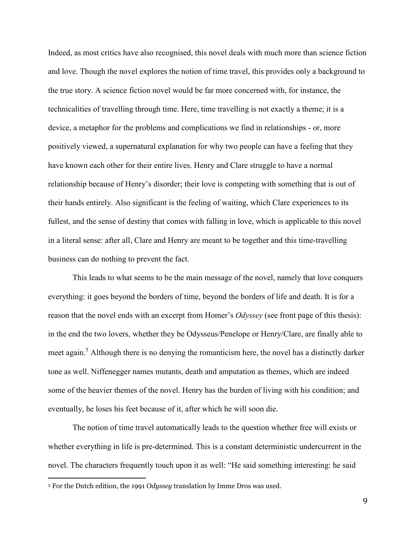Indeed, as most critics have also recognised, this novel deals with much more than science fiction and love. Though the novel explores the notion of time travel, this provides only a background to the true story. A science fiction novel would be far more concerned with, for instance, the technicalities of travelling through time. Here, time travelling is not exactly a theme; it is a device, a metaphor for the problems and complications we find in relationships - or, more positively viewed, a supernatural explanation for why two people can have a feeling that they have known each other for their entire lives. Henry and Clare struggle to have a normal relationship because of Henry's disorder; their love is competing with something that is out of their hands entirely. Also significant is the feeling of waiting, which Clare experiences to its fullest, and the sense of destiny that comes with falling in love, which is applicable to this novel in a literal sense: after all, Clare and Henry are meant to be together and this time-travelling business can do nothing to prevent the fact.

This leads to what seems to be the main message of the novel, namely that love conquers everything: it goes beyond the borders of time, beyond the borders of life and death. It is for a reason that the novel ends with an excerpt from Homer's *Odyssey* (see front page of this thesis): in the end the two lovers, whether they be Odysseus/Penelope or Henry/Clare, are finally able to meet again.<sup>5</sup> Although there is no denying the romanticism here, the novel has a distinctly darker tone as well. Niffenegger names mutants, death and amputation as themes, which are indeed some of the heavier themes of the novel. Henry has the burden of living with his condition; and eventually, he loses his feet because of it, after which he will soon die.

The notion of time travel automatically leads to the question whether free will exists or whether everything in life is pre-determined. This is a constant deterministic undercurrent in the novel. The characters frequently touch upon it as well: "He said something interesting: he said

<sup>5</sup> For the Dutch edition, the 1991 *Odyssey* translation by Imme Dros was used.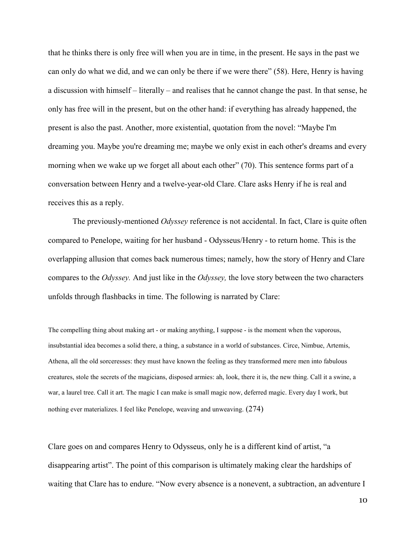that he thinks there is only free will when you are in time, in the present. He says in the past we can only do what we did, and we can only be there if we were there" (58). Here, Henry is having a discussion with himself – literally – and realises that he cannot change the past. In that sense, he only has free will in the present, but on the other hand: if everything has already happened, the present is also the past. Another, more existential, quotation from the novel: "Maybe I'm dreaming you. Maybe you're dreaming me; maybe we only exist in each other's dreams and every morning when we wake up we forget all about each other" (70). This sentence forms part of a conversation between Henry and a twelve-year-old Clare. Clare asks Henry if he is real and receives this as a reply.

The previously-mentioned *Odyssey* reference is not accidental. In fact, Clare is quite often compared to Penelope, waiting for her husband - Odysseus/Henry - to return home. This is the overlapping allusion that comes back numerous times; namely, how the story of Henry and Clare compares to the *Odyssey.* And just like in the *Odyssey,* the love story between the two characters unfolds through flashbacks in time. The following is narrated by Clare:

The compelling thing about making art - or making anything, I suppose - is the moment when the vaporous, insubstantial idea becomes a solid there, a thing, a substance in a world of substances. Circe, Nimbue, Artemis, Athena, all the old sorceresses: they must have known the feeling as they transformed mere men into fabulous creatures, stole the secrets of the magicians, disposed armies: ah, look, there it is, the new thing. Call it a swine, a war, a laurel tree. Call it art. The magic I can make is small magic now, deferred magic. Every day I work, but nothing ever materializes. I feel like Penelope, weaving and unweaving. (274)

Clare goes on and compares Henry to Odysseus, only he is a different kind of artist, "a disappearing artist". The point of this comparison is ultimately making clear the hardships of waiting that Clare has to endure. "Now every absence is a nonevent, a subtraction, an adventure I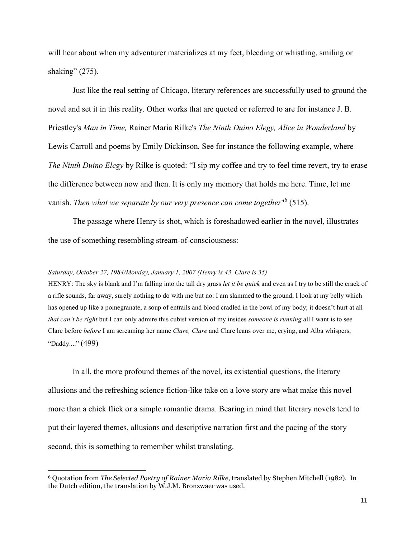will hear about when my adventurer materializes at my feet, bleeding or whistling, smiling or shaking" (275).

Just like the real setting of Chicago, literary references are successfully used to ground the novel and set it in this reality. Other works that are quoted or referred to are for instance J. B. Priestley's *Man in Time,* Rainer Maria Rilke's *The Ninth Duino Elegy, Alice in Wonderland* by Lewis Carroll and poems by Emily Dickinson*.* See for instance the following example, where *The Ninth Duino Elegy* by Rilke is quoted: "I sip my coffee and try to feel time revert, try to erase the difference between now and then. It is only my memory that holds me here. Time, let me vanish. *Then what we separate by our very presence can come together*" 6 (515).

 The passage where Henry is shot, which is foreshadowed earlier in the novel, illustrates the use of something resembling stream-of-consciousness:

#### *Saturday, October 27, 1984/Monday, January 1, 2007 (Henry is 43, Clare is 35)*

-

HENRY: The sky is blank and I'm falling into the tall dry grass *let it be quick* and even as I try to be still the crack of a rifle sounds, far away, surely nothing to do with me but no: I am slammed to the ground, I look at my belly which has opened up like a pomegranate, a soup of entrails and blood cradled in the bowl of my body; it doesn't hurt at all *that can't be right* but I can only admire this cubist version of my insides *someone is running* all I want is to see Clare before *before* I am screaming her name *Clare, Clare* and Clare leans over me, crying, and Alba whispers, "Daddy...." (499)

 In all, the more profound themes of the novel, its existential questions, the literary allusions and the refreshing science fiction-like take on a love story are what make this novel more than a chick flick or a simple romantic drama. Bearing in mind that literary novels tend to put their layered themes, allusions and descriptive narration first and the pacing of the story second, this is something to remember whilst translating.

<sup>6</sup> Quotation from *The Selected Poetry of Rainer Maria Rilke,* translated by Stephen Mitchell (1982). In the Dutch edition, the translation by W.J.M. Bronzwaer was used.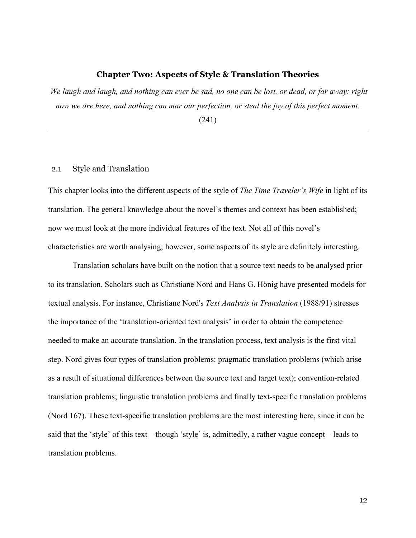#### **Chapter Two: Aspects of Style & Translation Theories**

*We laugh and laugh, and nothing can ever be sad, no one can be lost, or dead, or far away: right now we are here, and nothing can mar our perfection, or steal the joy of this perfect moment.* (241)

2.1 Style and Translation

This chapter looks into the different aspects of the style of *The Time Traveler's Wife* in light of its translation*.* The general knowledge about the novel's themes and context has been established; now we must look at the more individual features of the text. Not all of this novel's characteristics are worth analysing; however, some aspects of its style are definitely interesting.

 Translation scholars have built on the notion that a source text needs to be analysed prior to its translation. Scholars such as Christiane Nord and Hans G. Hönig have presented models for textual analysis. For instance, Christiane Nord's *Text Analysis in Translation* (1988/91) stresses the importance of the 'translation-oriented text analysis' in order to obtain the competence needed to make an accurate translation. In the translation process, text analysis is the first vital step. Nord gives four types of translation problems: pragmatic translation problems (which arise as a result of situational differences between the source text and target text); convention-related translation problems; linguistic translation problems and finally text-specific translation problems (Nord 167). These text-specific translation problems are the most interesting here, since it can be said that the 'style' of this text – though 'style' is, admittedly, a rather vague concept – leads to translation problems.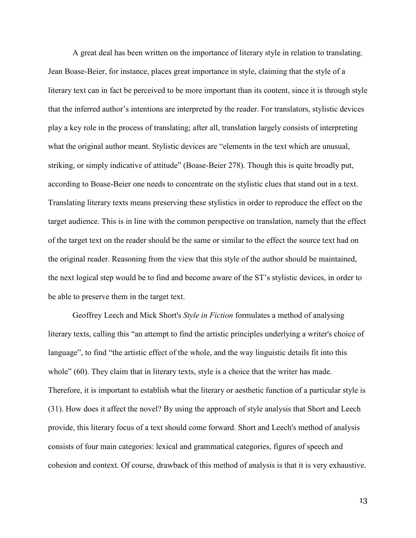A great deal has been written on the importance of literary style in relation to translating. Jean Boase-Beier, for instance, places great importance in style, claiming that the style of a literary text can in fact be perceived to be more important than its content, since it is through style that the inferred author's intentions are interpreted by the reader. For translators, stylistic devices play a key role in the process of translating; after all, translation largely consists of interpreting what the original author meant. Stylistic devices are "elements in the text which are unusual, striking, or simply indicative of attitude" (Boase-Beier 278). Though this is quite broadly put, according to Boase-Beier one needs to concentrate on the stylistic clues that stand out in a text. Translating literary texts means preserving these stylistics in order to reproduce the effect on the target audience. This is in line with the common perspective on translation, namely that the effect of the target text on the reader should be the same or similar to the effect the source text had on the original reader. Reasoning from the view that this style of the author should be maintained, the next logical step would be to find and become aware of the ST's stylistic devices, in order to be able to preserve them in the target text.

Geoffrey Leech and Mick Short's *Style in Fiction* formulates a method of analysing literary texts, calling this "an attempt to find the artistic principles underlying a writer's choice of language", to find "the artistic effect of the whole, and the way linguistic details fit into this whole" (60). They claim that in literary texts, style is a choice that the writer has made. Therefore, it is important to establish what the literary or aesthetic function of a particular style is (31). How does it affect the novel? By using the approach of style analysis that Short and Leech provide, this literary focus of a text should come forward. Short and Leech's method of analysis consists of four main categories: lexical and grammatical categories, figures of speech and cohesion and context. Of course, drawback of this method of analysis is that it is very exhaustive.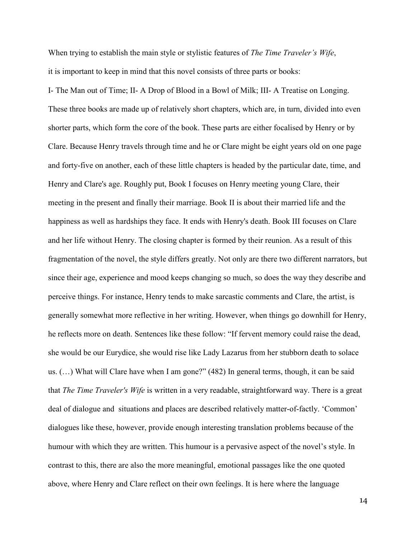When trying to establish the main style or stylistic features of *The Time Traveler's Wife*, it is important to keep in mind that this novel consists of three parts or books:

I- The Man out of Time; II- A Drop of Blood in a Bowl of Milk; III- A Treatise on Longing. These three books are made up of relatively short chapters, which are, in turn, divided into even shorter parts, which form the core of the book. These parts are either focalised by Henry or by Clare. Because Henry travels through time and he or Clare might be eight years old on one page and forty-five on another, each of these little chapters is headed by the particular date, time, and Henry and Clare's age. Roughly put, Book I focuses on Henry meeting young Clare, their meeting in the present and finally their marriage. Book II is about their married life and the happiness as well as hardships they face. It ends with Henry's death. Book III focuses on Clare and her life without Henry. The closing chapter is formed by their reunion. As a result of this fragmentation of the novel, the style differs greatly. Not only are there two different narrators, but since their age, experience and mood keeps changing so much, so does the way they describe and perceive things. For instance, Henry tends to make sarcastic comments and Clare, the artist, is generally somewhat more reflective in her writing. However, when things go downhill for Henry, he reflects more on death. Sentences like these follow: "If fervent memory could raise the dead, she would be our Eurydice, she would rise like Lady Lazarus from her stubborn death to solace us. (…) What will Clare have when I am gone?" (482) In general terms, though, it can be said that *The Time Traveler's Wife* is written in a very readable, straightforward way. There is a great deal of dialogue and situations and places are described relatively matter-of-factly. 'Common' dialogues like these, however, provide enough interesting translation problems because of the humour with which they are written. This humour is a pervasive aspect of the novel's style. In contrast to this, there are also the more meaningful, emotional passages like the one quoted above, where Henry and Clare reflect on their own feelings. It is here where the language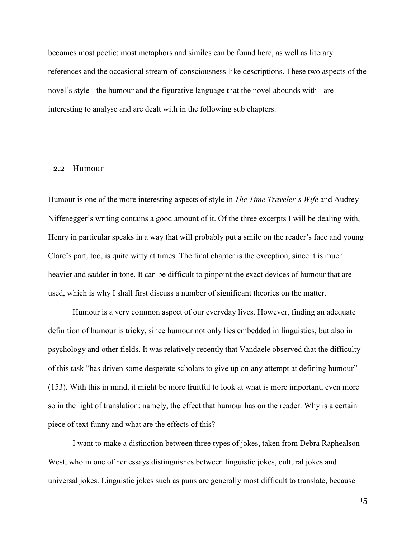becomes most poetic: most metaphors and similes can be found here, as well as literary references and the occasional stream-of-consciousness-like descriptions. These two aspects of the novel's style - the humour and the figurative language that the novel abounds with - are interesting to analyse and are dealt with in the following sub chapters.

#### 2.2 Humour

Humour is one of the more interesting aspects of style in *The Time Traveler's Wife* and Audrey Niffenegger's writing contains a good amount of it. Of the three excerpts I will be dealing with, Henry in particular speaks in a way that will probably put a smile on the reader's face and young Clare's part, too, is quite witty at times. The final chapter is the exception, since it is much heavier and sadder in tone. It can be difficult to pinpoint the exact devices of humour that are used, which is why I shall first discuss a number of significant theories on the matter.

Humour is a very common aspect of our everyday lives. However, finding an adequate definition of humour is tricky, since humour not only lies embedded in linguistics, but also in psychology and other fields. It was relatively recently that Vandaele observed that the difficulty of this task "has driven some desperate scholars to give up on any attempt at defining humour" (153). With this in mind, it might be more fruitful to look at what is more important, even more so in the light of translation: namely, the effect that humour has on the reader. Why is a certain piece of text funny and what are the effects of this?

I want to make a distinction between three types of jokes, taken from Debra Raphealson-West, who in one of her essays distinguishes between linguistic jokes, cultural jokes and universal jokes. Linguistic jokes such as puns are generally most difficult to translate, because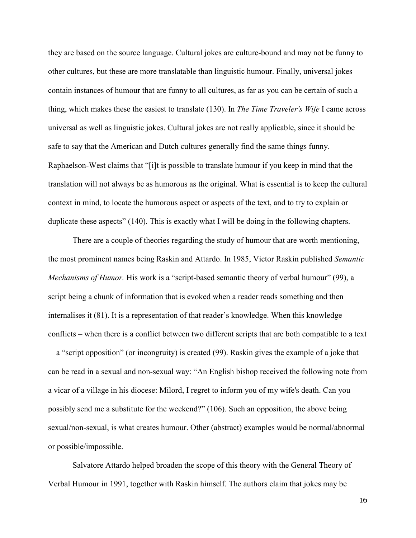they are based on the source language. Cultural jokes are culture-bound and may not be funny to other cultures, but these are more translatable than linguistic humour. Finally, universal jokes contain instances of humour that are funny to all cultures, as far as you can be certain of such a thing, which makes these the easiest to translate (130). In *The Time Traveler's Wife* I came across universal as well as linguistic jokes. Cultural jokes are not really applicable, since it should be safe to say that the American and Dutch cultures generally find the same things funny. Raphaelson-West claims that "[i]t is possible to translate humour if you keep in mind that the translation will not always be as humorous as the original. What is essential is to keep the cultural context in mind, to locate the humorous aspect or aspects of the text, and to try to explain or duplicate these aspects" (140). This is exactly what I will be doing in the following chapters.

 There are a couple of theories regarding the study of humour that are worth mentioning, the most prominent names being Raskin and Attardo. In 1985, Victor Raskin published *Semantic Mechanisms of Humor.* His work is a "script-based semantic theory of verbal humour" (99), a script being a chunk of information that is evoked when a reader reads something and then internalises it (81). It is a representation of that reader's knowledge. When this knowledge conflicts – when there is a conflict between two different scripts that are both compatible to a text – a "script opposition" (or incongruity) is created (99). Raskin gives the example of a joke that can be read in a sexual and non-sexual way: "An English bishop received the following note from a vicar of a village in his diocese: Milord, I regret to inform you of my wife's death. Can you possibly send me a substitute for the weekend?" (106). Such an opposition, the above being sexual/non-sexual, is what creates humour. Other (abstract) examples would be normal/abnormal or possible/impossible.

Salvatore Attardo helped broaden the scope of this theory with the General Theory of Verbal Humour in 1991, together with Raskin himself. The authors claim that jokes may be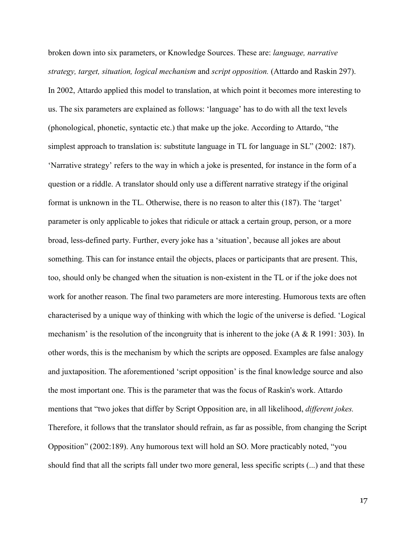broken down into six parameters, or Knowledge Sources. These are: *language, narrative strategy, target, situation, logical mechanism* and *script opposition.* (Attardo and Raskin 297). In 2002, Attardo applied this model to translation, at which point it becomes more interesting to us. The six parameters are explained as follows: 'language' has to do with all the text levels (phonological, phonetic, syntactic etc.) that make up the joke. According to Attardo, "the simplest approach to translation is: substitute language in TL for language in SL" (2002: 187). 'Narrative strategy' refers to the way in which a joke is presented, for instance in the form of a question or a riddle. A translator should only use a different narrative strategy if the original format is unknown in the TL. Otherwise, there is no reason to alter this (187). The 'target' parameter is only applicable to jokes that ridicule or attack a certain group, person, or a more broad, less-defined party. Further, every joke has a 'situation', because all jokes are about something. This can for instance entail the objects, places or participants that are present. This, too, should only be changed when the situation is non-existent in the TL or if the joke does not work for another reason. The final two parameters are more interesting. Humorous texts are often characterised by a unique way of thinking with which the logic of the universe is defied. 'Logical mechanism' is the resolution of the incongruity that is inherent to the joke  $(A \& R 1991: 303)$ . In other words, this is the mechanism by which the scripts are opposed. Examples are false analogy and juxtaposition. The aforementioned 'script opposition' is the final knowledge source and also the most important one. This is the parameter that was the focus of Raskin's work. Attardo mentions that "two jokes that differ by Script Opposition are, in all likelihood, *different jokes.*  Therefore, it follows that the translator should refrain, as far as possible, from changing the Script Opposition" (2002:189). Any humorous text will hold an SO. More practicably noted, "you should find that all the scripts fall under two more general, less specific scripts (...) and that these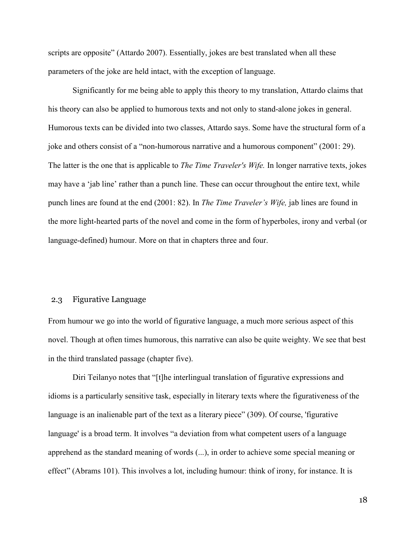scripts are opposite" (Attardo 2007). Essentially, jokes are best translated when all these parameters of the joke are held intact, with the exception of language.

Significantly for me being able to apply this theory to my translation, Attardo claims that his theory can also be applied to humorous texts and not only to stand-alone jokes in general. Humorous texts can be divided into two classes, Attardo says. Some have the structural form of a joke and others consist of a "non-humorous narrative and a humorous component" (2001: 29). The latter is the one that is applicable to *The Time Traveler's Wife.* In longer narrative texts, jokes may have a 'jab line' rather than a punch line. These can occur throughout the entire text, while punch lines are found at the end (2001: 82). In *The Time Traveler's Wife,* jab lines are found in the more light-hearted parts of the novel and come in the form of hyperboles, irony and verbal (or language-defined) humour. More on that in chapters three and four.

#### 2.3 Figurative Language

From humour we go into the world of figurative language, a much more serious aspect of this novel. Though at often times humorous, this narrative can also be quite weighty. We see that best in the third translated passage (chapter five).

Diri Teilanyo notes that "[t]he interlingual translation of figurative expressions and idioms is a particularly sensitive task, especially in literary texts where the figurativeness of the language is an inalienable part of the text as a literary piece" (309). Of course, 'figurative language' is a broad term. It involves "a deviation from what competent users of a language apprehend as the standard meaning of words (...), in order to achieve some special meaning or effect" (Abrams 101). This involves a lot, including humour: think of irony, for instance. It is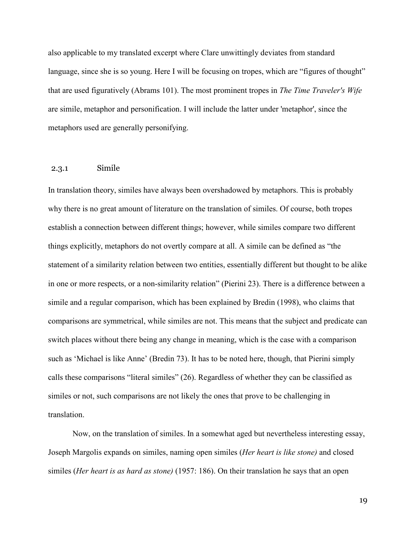also applicable to my translated excerpt where Clare unwittingly deviates from standard language, since she is so young. Here I will be focusing on tropes, which are "figures of thought" that are used figuratively (Abrams 101). The most prominent tropes in *The Time Traveler's Wife*  are simile, metaphor and personification. I will include the latter under 'metaphor', since the metaphors used are generally personifying.

#### 2.3.1 Simile

In translation theory, similes have always been overshadowed by metaphors. This is probably why there is no great amount of literature on the translation of similes. Of course, both tropes establish a connection between different things; however, while similes compare two different things explicitly, metaphors do not overtly compare at all. A simile can be defined as "the statement of a similarity relation between two entities, essentially different but thought to be alike in one or more respects, or a non-similarity relation" (Pierini 23). There is a difference between a simile and a regular comparison, which has been explained by Bredin (1998), who claims that comparisons are symmetrical, while similes are not. This means that the subject and predicate can switch places without there being any change in meaning, which is the case with a comparison such as 'Michael is like Anne' (Bredin 73). It has to be noted here, though, that Pierini simply calls these comparisons "literal similes" (26). Regardless of whether they can be classified as similes or not, such comparisons are not likely the ones that prove to be challenging in translation.

Now, on the translation of similes. In a somewhat aged but nevertheless interesting essay, Joseph Margolis expands on similes, naming open similes (*Her heart is like stone)* and closed similes (*Her heart is as hard as stone)* (1957: 186). On their translation he says that an open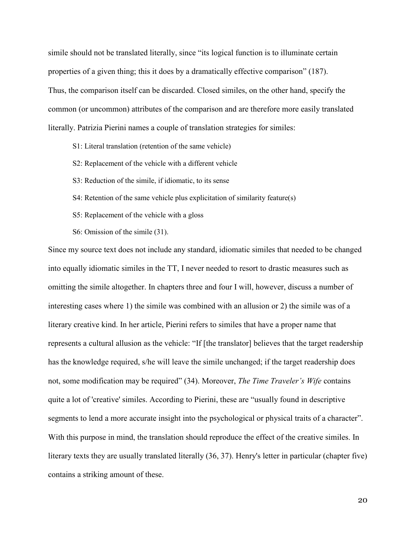simile should not be translated literally, since "its logical function is to illuminate certain properties of a given thing; this it does by a dramatically effective comparison" (187). Thus, the comparison itself can be discarded. Closed similes, on the other hand, specify the common (or uncommon) attributes of the comparison and are therefore more easily translated literally. Patrizia Pierini names a couple of translation strategies for similes:

S1: Literal translation (retention of the same vehicle)

- S2: Replacement of the vehicle with a different vehicle
- S3: Reduction of the simile, if idiomatic, to its sense
- S4: Retention of the same vehicle plus explicitation of similarity feature(s)
- S5: Replacement of the vehicle with a gloss
- S6: Omission of the simile (31).

Since my source text does not include any standard, idiomatic similes that needed to be changed into equally idiomatic similes in the TT, I never needed to resort to drastic measures such as omitting the simile altogether. In chapters three and four I will, however, discuss a number of interesting cases where 1) the simile was combined with an allusion or 2) the simile was of a literary creative kind. In her article, Pierini refers to similes that have a proper name that represents a cultural allusion as the vehicle: "If [the translator] believes that the target readership has the knowledge required, s/he will leave the simile unchanged; if the target readership does not, some modification may be required" (34). Moreover, *The Time Traveler's Wife* contains quite a lot of 'creative' similes. According to Pierini, these are "usually found in descriptive segments to lend a more accurate insight into the psychological or physical traits of a character". With this purpose in mind, the translation should reproduce the effect of the creative similes. In literary texts they are usually translated literally (36, 37). Henry's letter in particular (chapter five) contains a striking amount of these.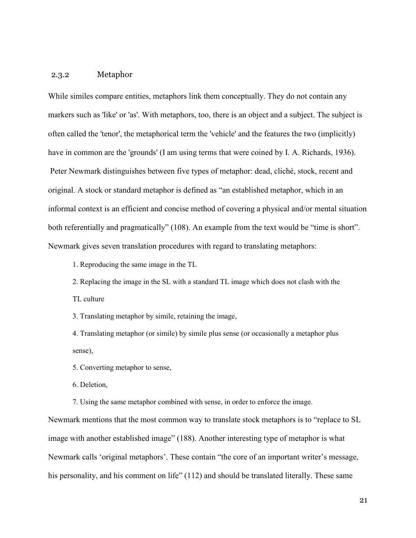# 2.3.2 Metaphor

While similes compare entities, metaphors link them conceptually. They do not contain any markers such as 'like' or 'as'. With metaphors, too, there is an object and a subject. The subject is often called the 'tenor', the metaphorical term the 'vehicle' and the features the two (implicitly) have in common are the 'grounds' (I am using terms that were coined by I. A. Richards, 1936). Peter Newmark distinguishes between five types of metaphor: dead, cliché, stock, recent and original. A stock or standard metaphor is defined as "an established metaphor, which in an informal context is an efficient and concise method of covering a physical and/or mental situation both referentially and pragmatically" (108). An example from the text would be "time is short". Newmark gives seven translation procedures with regard to translating metaphors:

1. Reproducing the same image in the TL

2. Replacing the image in the SL with a standard TL image which does not clash with the TL culture

3. Translating metaphor by simile, retaining the image,

4. Translating metaphor (or simile) by simile plus sense (or occasionally a metaphor plus sense),

5. Converting metaphor to sense,

6. Deletion,

7. Using the same metaphor combined with sense, in order to enforce the image.

Newmark mentions that the most common way to translate stock metaphors is to "replace to SL image with another established image" (188). Another interesting type of metaphor is what Newmark calls 'original metaphors'. These contain "the core of an important writer's message, his personality, and his comment on life" (112) and should be translated literally. These same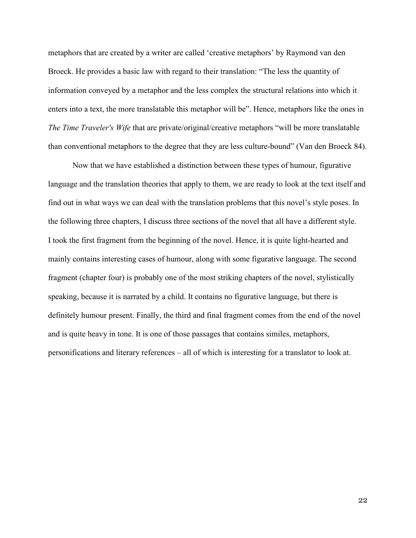metaphors that are created by a writer are called 'creative metaphors' by Raymond van den Broeck. He provides a basic law with regard to their translation: "The less the quantity of information conveyed by a metaphor and the less complex the structural relations into which it enters into a text, the more translatable this metaphor will be". Hence, metaphors like the ones in *The Time Traveler's Wife* that are private/original/creative metaphors "will be more translatable than conventional metaphors to the degree that they are less culture-bound" (Van den Broeck 84).

Now that we have established a distinction between these types of humour, figurative language and the translation theories that apply to them, we are ready to look at the text itself and find out in what ways we can deal with the translation problems that this novel's style poses. In the following three chapters, I discuss three sections of the novel that all have a different style. I took the first fragment from the beginning of the novel. Hence, it is quite light-hearted and mainly contains interesting cases of humour, along with some figurative language. The second fragment (chapter four) is probably one of the most striking chapters of the novel, stylistically speaking, because it is narrated by a child. It contains no figurative language, but there is definitely humour present. Finally, the third and final fragment comes from the end of the novel and is quite heavy in tone. It is one of those passages that contains similes, metaphors, personifications and literary references – all of which is interesting for a translator to look at.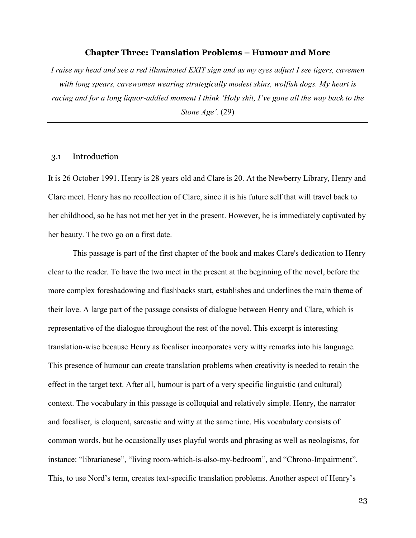#### **Chapter Three: Translation Problems – Humour and More**

*I raise my head and see a red illuminated EXIT sign and as my eyes adjust I see tigers, cavemen with long spears, cavewomen wearing strategically modest skins, wolfish dogs. My heart is racing and for a long liquor-addled moment I think 'Holy shit, I've gone all the way back to the Stone Age'.* (29)

# 3.1 Introduction

It is 26 October 1991. Henry is 28 years old and Clare is 20. At the Newberry Library, Henry and Clare meet. Henry has no recollection of Clare, since it is his future self that will travel back to her childhood, so he has not met her yet in the present. However, he is immediately captivated by her beauty. The two go on a first date.

This passage is part of the first chapter of the book and makes Clare's dedication to Henry clear to the reader. To have the two meet in the present at the beginning of the novel, before the more complex foreshadowing and flashbacks start, establishes and underlines the main theme of their love. A large part of the passage consists of dialogue between Henry and Clare, which is representative of the dialogue throughout the rest of the novel. This excerpt is interesting translation-wise because Henry as focaliser incorporates very witty remarks into his language. This presence of humour can create translation problems when creativity is needed to retain the effect in the target text. After all, humour is part of a very specific linguistic (and cultural) context. The vocabulary in this passage is colloquial and relatively simple. Henry, the narrator and focaliser, is eloquent, sarcastic and witty at the same time. His vocabulary consists of common words, but he occasionally uses playful words and phrasing as well as neologisms, for instance: "librarianese", "living room-which-is-also-my-bedroom", and "Chrono-Impairment". This, to use Nord's term, creates text-specific translation problems. Another aspect of Henry's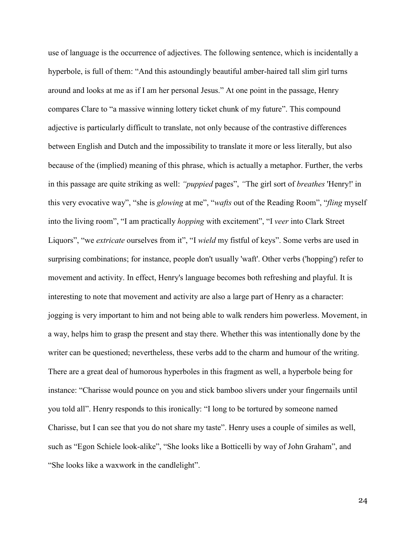use of language is the occurrence of adjectives. The following sentence, which is incidentally a hyperbole, is full of them: "And this astoundingly beautiful amber-haired tall slim girl turns around and looks at me as if I am her personal Jesus." At one point in the passage, Henry compares Clare to "a massive winning lottery ticket chunk of my future". This compound adjective is particularly difficult to translate, not only because of the contrastive differences between English and Dutch and the impossibility to translate it more or less literally, but also because of the (implied) meaning of this phrase, which is actually a metaphor. Further, the verbs in this passage are quite striking as well: *"puppied* pages", *"*The girl sort of *breathes* 'Henry!' in this very evocative way", "she is *glowing* at me", "*wafts* out of the Reading Room", "*fling* myself into the living room", "I am practically *hopping* with excitement", "I *veer* into Clark Street Liquors", "we *extricate* ourselves from it", "I *wield* my fistful of keys". Some verbs are used in surprising combinations; for instance, people don't usually 'waft'. Other verbs ('hopping') refer to movement and activity. In effect, Henry's language becomes both refreshing and playful. It is interesting to note that movement and activity are also a large part of Henry as a character: jogging is very important to him and not being able to walk renders him powerless. Movement, in a way, helps him to grasp the present and stay there. Whether this was intentionally done by the writer can be questioned; nevertheless, these verbs add to the charm and humour of the writing. There are a great deal of humorous hyperboles in this fragment as well, a hyperbole being for instance: "Charisse would pounce on you and stick bamboo slivers under your fingernails until you told all". Henry responds to this ironically: "I long to be tortured by someone named Charisse, but I can see that you do not share my taste". Henry uses a couple of similes as well, such as "Egon Schiele look-alike", "She looks like a Botticelli by way of John Graham", and "She looks like a waxwork in the candlelight".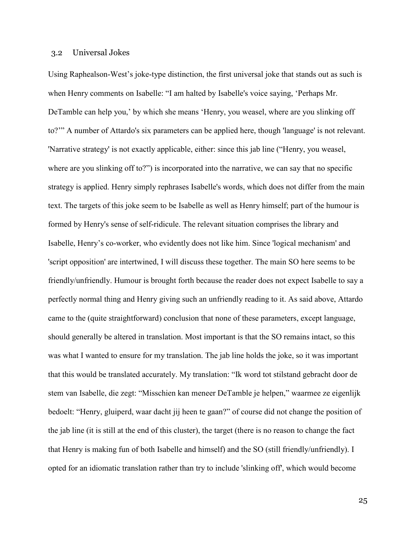### 3.2 Universal Jokes

Using Raphealson-West's joke-type distinction, the first universal joke that stands out as such is when Henry comments on Isabelle: "I am halted by Isabelle's voice saying, 'Perhaps Mr. DeTamble can help you,' by which she means 'Henry, you weasel, where are you slinking off to?'" A number of Attardo's six parameters can be applied here, though 'language' is not relevant. 'Narrative strategy' is not exactly applicable, either: since this jab line ("Henry, you weasel, where are you slinking off to?") is incorporated into the narrative, we can say that no specific strategy is applied. Henry simply rephrases Isabelle's words, which does not differ from the main text. The targets of this joke seem to be Isabelle as well as Henry himself; part of the humour is formed by Henry's sense of self-ridicule. The relevant situation comprises the library and Isabelle, Henry's co-worker, who evidently does not like him. Since 'logical mechanism' and 'script opposition' are intertwined, I will discuss these together. The main SO here seems to be friendly/unfriendly. Humour is brought forth because the reader does not expect Isabelle to say a perfectly normal thing and Henry giving such an unfriendly reading to it. As said above, Attardo came to the (quite straightforward) conclusion that none of these parameters, except language, should generally be altered in translation. Most important is that the SO remains intact, so this was what I wanted to ensure for my translation. The jab line holds the joke, so it was important that this would be translated accurately. My translation: "Ik word tot stilstand gebracht door de stem van Isabelle, die zegt: "Misschien kan meneer DeTamble je helpen," waarmee ze eigenlijk bedoelt: "Henry, gluiperd, waar dacht jij heen te gaan?" of course did not change the position of the jab line (it is still at the end of this cluster), the target (there is no reason to change the fact that Henry is making fun of both Isabelle and himself) and the SO (still friendly/unfriendly). I opted for an idiomatic translation rather than try to include 'slinking off', which would become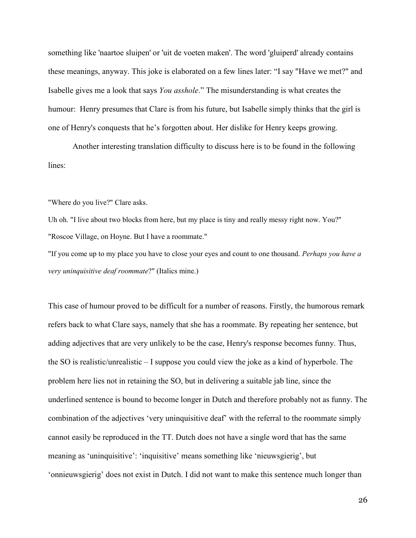something like 'naartoe sluipen' or 'uit de voeten maken'. The word 'gluiperd' already contains these meanings, anyway. This joke is elaborated on a few lines later: "I say "Have we met?" and Isabelle gives me a look that says *You asshole*." The misunderstanding is what creates the humour: Henry presumes that Clare is from his future, but Isabelle simply thinks that the girl is one of Henry's conquests that he's forgotten about. Her dislike for Henry keeps growing.

Another interesting translation difficulty to discuss here is to be found in the following lines:

"Where do you live?" Clare asks.

Uh oh. "I live about two blocks from here, but my place is tiny and really messy right now. You?" "Roscoe Village, on Hoyne. But I have a roommate."

"If you come up to my place you have to close your eyes and count to one thousand. *Perhaps you have a very uninquisitive deaf roommate*?" (Italics mine.)

This case of humour proved to be difficult for a number of reasons. Firstly, the humorous remark refers back to what Clare says, namely that she has a roommate. By repeating her sentence, but adding adjectives that are very unlikely to be the case, Henry's response becomes funny. Thus, the SO is realistic/unrealistic – I suppose you could view the joke as a kind of hyperbole. The problem here lies not in retaining the SO, but in delivering a suitable jab line, since the underlined sentence is bound to become longer in Dutch and therefore probably not as funny. The combination of the adjectives 'very uninquisitive deaf' with the referral to the roommate simply cannot easily be reproduced in the TT. Dutch does not have a single word that has the same meaning as 'uninquisitive': 'inquisitive' means something like 'nieuwsgierig', but 'onnieuwsgierig' does not exist in Dutch. I did not want to make this sentence much longer than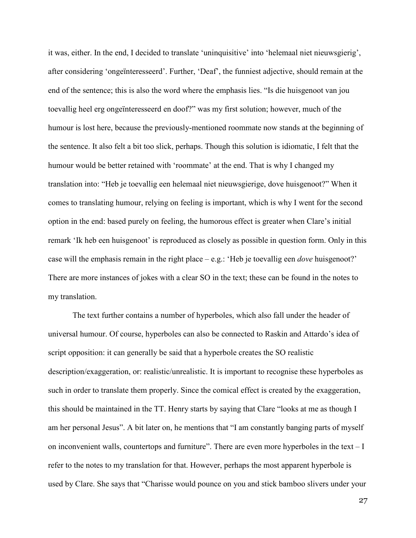it was, either. In the end, I decided to translate 'uninquisitive' into 'helemaal niet nieuwsgierig', after considering 'ongeïnteresseerd'. Further, 'Deaf', the funniest adjective, should remain at the end of the sentence; this is also the word where the emphasis lies. "Is die huisgenoot van jou toevallig heel erg ongeïnteresseerd en doof?" was my first solution; however, much of the humour is lost here, because the previously-mentioned roommate now stands at the beginning of the sentence. It also felt a bit too slick, perhaps. Though this solution is idiomatic, I felt that the humour would be better retained with 'roommate' at the end. That is why I changed my translation into: "Heb je toevallig een helemaal niet nieuwsgierige, dove huisgenoot?" When it comes to translating humour, relying on feeling is important, which is why I went for the second option in the end: based purely on feeling, the humorous effect is greater when Clare's initial remark 'Ik heb een huisgenoot' is reproduced as closely as possible in question form. Only in this case will the emphasis remain in the right place – e.g.: 'Heb je toevallig een *dove* huisgenoot?' There are more instances of jokes with a clear SO in the text; these can be found in the notes to my translation.

 The text further contains a number of hyperboles, which also fall under the header of universal humour. Of course, hyperboles can also be connected to Raskin and Attardo's idea of script opposition: it can generally be said that a hyperbole creates the SO realistic description/exaggeration, or: realistic/unrealistic. It is important to recognise these hyperboles as such in order to translate them properly. Since the comical effect is created by the exaggeration, this should be maintained in the TT. Henry starts by saying that Clare "looks at me as though I am her personal Jesus". A bit later on, he mentions that "I am constantly banging parts of myself on inconvenient walls, countertops and furniture". There are even more hyperboles in the text – I refer to the notes to my translation for that. However, perhaps the most apparent hyperbole is used by Clare. She says that "Charisse would pounce on you and stick bamboo slivers under your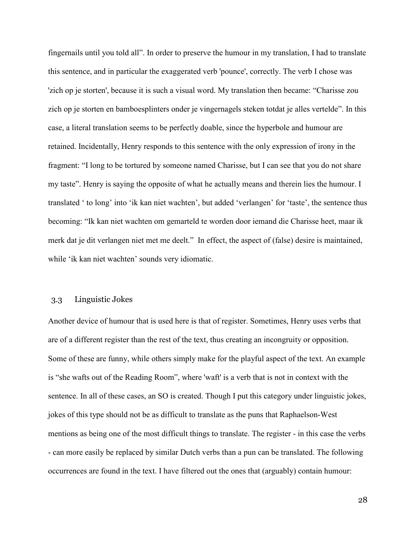fingernails until you told all". In order to preserve the humour in my translation, I had to translate this sentence, and in particular the exaggerated verb 'pounce', correctly. The verb I chose was 'zich op je storten', because it is such a visual word. My translation then became: "Charisse zou zich op je storten en bamboesplinters onder je vingernagels steken totdat je alles vertelde". In this case, a literal translation seems to be perfectly doable, since the hyperbole and humour are retained. Incidentally, Henry responds to this sentence with the only expression of irony in the fragment: "I long to be tortured by someone named Charisse, but I can see that you do not share my taste". Henry is saying the opposite of what he actually means and therein lies the humour. I translated ' to long' into 'ik kan niet wachten', but added 'verlangen' for 'taste', the sentence thus becoming: "Ik kan niet wachten om gemarteld te worden door iemand die Charisse heet, maar ik merk dat je dit verlangen niet met me deelt." In effect, the aspect of (false) desire is maintained, while 'ik kan niet wachten' sounds very idiomatic.

#### 3.3 Linguistic Jokes

Another device of humour that is used here is that of register. Sometimes, Henry uses verbs that are of a different register than the rest of the text, thus creating an incongruity or opposition. Some of these are funny, while others simply make for the playful aspect of the text. An example is "she wafts out of the Reading Room", where 'waft' is a verb that is not in context with the sentence. In all of these cases, an SO is created. Though I put this category under linguistic jokes, jokes of this type should not be as difficult to translate as the puns that Raphaelson-West mentions as being one of the most difficult things to translate. The register - in this case the verbs - can more easily be replaced by similar Dutch verbs than a pun can be translated. The following occurrences are found in the text. I have filtered out the ones that (arguably) contain humour: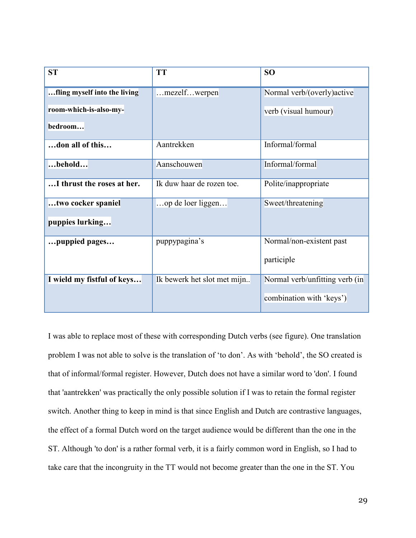| <b>ST</b>                    | <b>TT</b>                     | S <sub>O</sub>                 |
|------------------------------|-------------------------------|--------------------------------|
| fling myself into the living | $\dots$ mezelf $\dots$ werpen | Normal verb/(overly) active    |
| room-which-is-also-my-       |                               | verb (visual humour)           |
| bedroom                      |                               |                                |
| don all of this              | Aantrekken                    | Informal/formal                |
| behold                       | Aanschouwen                   | Informal/formal                |
| I thrust the roses at her.   | Ik duw haar de rozen toe.     | Polite/inappropriate           |
| two cocker spaniel           | op de loer liggen             | Sweet/threatening              |
| puppies lurking              |                               |                                |
| puppied pages                | puppypagina's                 | Normal/non-existent past       |
|                              |                               | participle                     |
| I wield my fistful of keys   | Ik bewerk het slot met mijn   | Normal verb/unfitting verb (in |
|                              |                               | combination with 'keys')       |

I was able to replace most of these with corresponding Dutch verbs (see figure). One translation problem I was not able to solve is the translation of 'to don'. As with 'behold', the SO created is that of informal/formal register. However, Dutch does not have a similar word to 'don'. I found that 'aantrekken' was practically the only possible solution if I was to retain the formal register switch. Another thing to keep in mind is that since English and Dutch are contrastive languages, the effect of a formal Dutch word on the target audience would be different than the one in the ST. Although 'to don' is a rather formal verb, it is a fairly common word in English, so I had to take care that the incongruity in the TT would not become greater than the one in the ST. You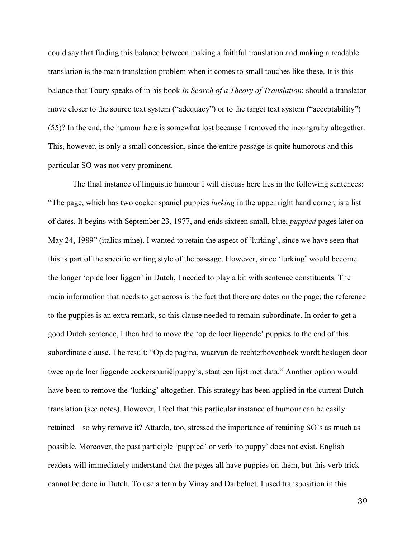could say that finding this balance between making a faithful translation and making a readable translation is the main translation problem when it comes to small touches like these. It is this balance that Toury speaks of in his book *In Search of a Theory of Translation*: should a translator move closer to the source text system ("adequacy") or to the target text system ("acceptability") (55)? In the end, the humour here is somewhat lost because I removed the incongruity altogether. This, however, is only a small concession, since the entire passage is quite humorous and this particular SO was not very prominent.

The final instance of linguistic humour I will discuss here lies in the following sentences: "The page, which has two cocker spaniel puppies *lurking* in the upper right hand corner, is a list of dates. It begins with September 23, 1977, and ends sixteen small, blue, *puppied* pages later on May 24, 1989" (italics mine). I wanted to retain the aspect of 'lurking', since we have seen that this is part of the specific writing style of the passage. However, since 'lurking' would become the longer 'op de loer liggen' in Dutch, I needed to play a bit with sentence constituents. The main information that needs to get across is the fact that there are dates on the page; the reference to the puppies is an extra remark, so this clause needed to remain subordinate. In order to get a good Dutch sentence, I then had to move the 'op de loer liggende' puppies to the end of this subordinate clause. The result: "Op de pagina, waarvan de rechterbovenhoek wordt beslagen door twee op de loer liggende cockerspaniëlpuppy's, staat een lijst met data." Another option would have been to remove the 'lurking' altogether. This strategy has been applied in the current Dutch translation (see notes). However, I feel that this particular instance of humour can be easily retained – so why remove it? Attardo, too, stressed the importance of retaining SO's as much as possible. Moreover, the past participle 'puppied' or verb 'to puppy' does not exist. English readers will immediately understand that the pages all have puppies on them, but this verb trick cannot be done in Dutch. To use a term by Vinay and Darbelnet, I used transposition in this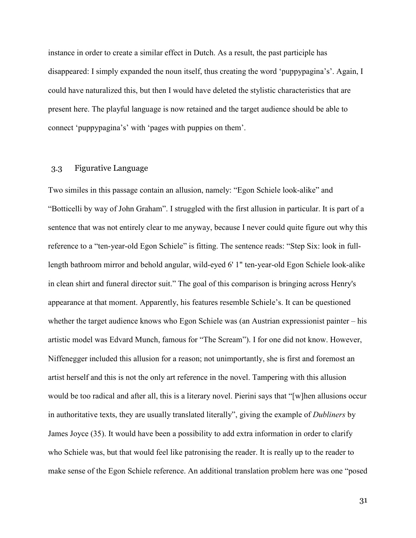instance in order to create a similar effect in Dutch. As a result, the past participle has disappeared: I simply expanded the noun itself, thus creating the word 'puppypagina's'. Again, I could have naturalized this, but then I would have deleted the stylistic characteristics that are present here. The playful language is now retained and the target audience should be able to connect 'puppypagina's' with 'pages with puppies on them'.

## 3.3 Figurative Language

Two similes in this passage contain an allusion, namely: "Egon Schiele look-alike" and "Botticelli by way of John Graham". I struggled with the first allusion in particular. It is part of a sentence that was not entirely clear to me anyway, because I never could quite figure out why this reference to a "ten-year-old Egon Schiele" is fitting. The sentence reads: "Step Six: look in fulllength bathroom mirror and behold angular, wild-eyed 6' 1" ten-year-old Egon Schiele look-alike in clean shirt and funeral director suit." The goal of this comparison is bringing across Henry's appearance at that moment. Apparently, his features resemble Schiele's. It can be questioned whether the target audience knows who Egon Schiele was (an Austrian expressionist painter – his artistic model was Edvard Munch, famous for "The Scream"). I for one did not know. However, Niffenegger included this allusion for a reason; not unimportantly, she is first and foremost an artist herself and this is not the only art reference in the novel. Tampering with this allusion would be too radical and after all, this is a literary novel. Pierini says that "[w]hen allusions occur in authoritative texts, they are usually translated literally", giving the example of *Dubliners* by James Joyce (35). It would have been a possibility to add extra information in order to clarify who Schiele was, but that would feel like patronising the reader. It is really up to the reader to make sense of the Egon Schiele reference. An additional translation problem here was one "posed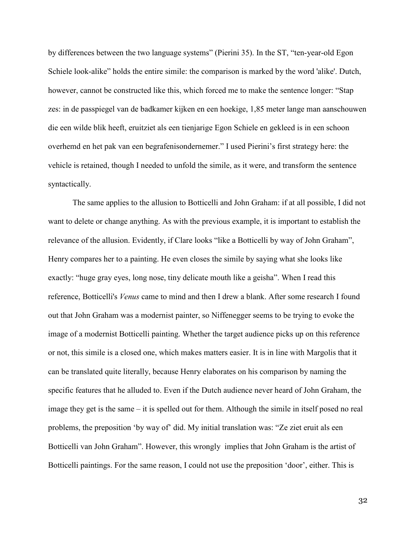by differences between the two language systems" (Pierini 35). In the ST, "ten-year-old Egon Schiele look-alike" holds the entire simile: the comparison is marked by the word 'alike'. Dutch, however, cannot be constructed like this, which forced me to make the sentence longer: "Stap zes: in de passpiegel van de badkamer kijken en een hoekige, 1,85 meter lange man aanschouwen die een wilde blik heeft, eruitziet als een tienjarige Egon Schiele en gekleed is in een schoon overhemd en het pak van een begrafenisondernemer." I used Pierini's first strategy here: the vehicle is retained, though I needed to unfold the simile, as it were, and transform the sentence syntactically.

The same applies to the allusion to Botticelli and John Graham: if at all possible, I did not want to delete or change anything. As with the previous example, it is important to establish the relevance of the allusion. Evidently, if Clare looks "like a Botticelli by way of John Graham", Henry compares her to a painting. He even closes the simile by saying what she looks like exactly: "huge gray eyes, long nose, tiny delicate mouth like a geisha". When I read this reference, Botticelli's *Venus* came to mind and then I drew a blank. After some research I found out that John Graham was a modernist painter, so Niffenegger seems to be trying to evoke the image of a modernist Botticelli painting. Whether the target audience picks up on this reference or not, this simile is a closed one, which makes matters easier. It is in line with Margolis that it can be translated quite literally, because Henry elaborates on his comparison by naming the specific features that he alluded to. Even if the Dutch audience never heard of John Graham, the image they get is the same – it is spelled out for them. Although the simile in itself posed no real problems, the preposition 'by way of' did. My initial translation was: "Ze ziet eruit als een Botticelli van John Graham". However, this wrongly implies that John Graham is the artist of Botticelli paintings. For the same reason, I could not use the preposition 'door', either. This is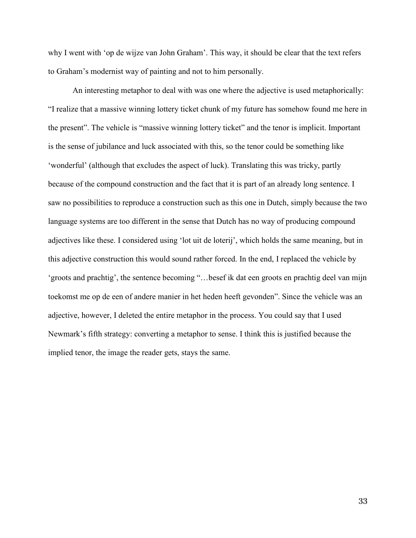why I went with 'op de wijze van John Graham'. This way, it should be clear that the text refers to Graham's modernist way of painting and not to him personally.

An interesting metaphor to deal with was one where the adjective is used metaphorically: "I realize that a massive winning lottery ticket chunk of my future has somehow found me here in the present". The vehicle is "massive winning lottery ticket" and the tenor is implicit. Important is the sense of jubilance and luck associated with this, so the tenor could be something like 'wonderful' (although that excludes the aspect of luck). Translating this was tricky, partly because of the compound construction and the fact that it is part of an already long sentence. I saw no possibilities to reproduce a construction such as this one in Dutch, simply because the two language systems are too different in the sense that Dutch has no way of producing compound adjectives like these. I considered using 'lot uit de loterij', which holds the same meaning, but in this adjective construction this would sound rather forced. In the end, I replaced the vehicle by 'groots and prachtig', the sentence becoming "…besef ik dat een groots en prachtig deel van mijn toekomst me op de een of andere manier in het heden heeft gevonden". Since the vehicle was an adjective, however, I deleted the entire metaphor in the process. You could say that I used Newmark's fifth strategy: converting a metaphor to sense. I think this is justified because the implied tenor, the image the reader gets, stays the same.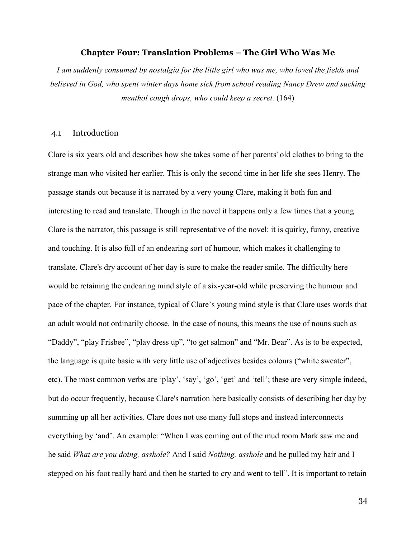#### **Chapter Four: Translation Problems – The Girl Who Was Me**

*I am suddenly consumed by nostalgia for the little girl who was me, who loved the fields and believed in God, who spent winter days home sick from school reading Nancy Drew and sucking menthol cough drops, who could keep a secret.* (164)

# 4.1 Introduction

Clare is six years old and describes how she takes some of her parents' old clothes to bring to the strange man who visited her earlier. This is only the second time in her life she sees Henry. The passage stands out because it is narrated by a very young Clare, making it both fun and interesting to read and translate. Though in the novel it happens only a few times that a young Clare is the narrator, this passage is still representative of the novel: it is quirky, funny, creative and touching. It is also full of an endearing sort of humour, which makes it challenging to translate. Clare's dry account of her day is sure to make the reader smile. The difficulty here would be retaining the endearing mind style of a six-year-old while preserving the humour and pace of the chapter. For instance, typical of Clare's young mind style is that Clare uses words that an adult would not ordinarily choose. In the case of nouns, this means the use of nouns such as "Daddy", "play Frisbee", "play dress up", "to get salmon" and "Mr. Bear". As is to be expected, the language is quite basic with very little use of adjectives besides colours ("white sweater", etc). The most common verbs are 'play', 'say', 'go', 'get' and 'tell'; these are very simple indeed, but do occur frequently, because Clare's narration here basically consists of describing her day by summing up all her activities. Clare does not use many full stops and instead interconnects everything by 'and'. An example: "When I was coming out of the mud room Mark saw me and he said *What are you doing, asshole?* And I said *Nothing, asshole* and he pulled my hair and I stepped on his foot really hard and then he started to cry and went to tell". It is important to retain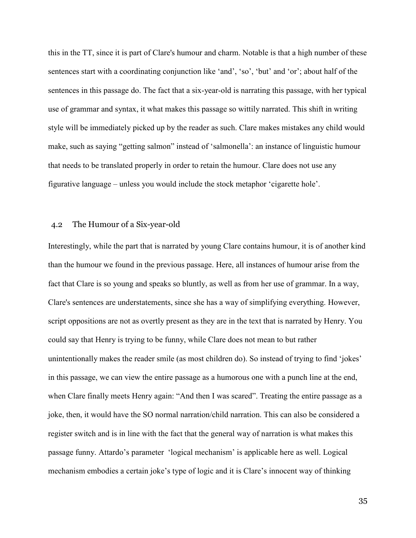this in the TT, since it is part of Clare's humour and charm. Notable is that a high number of these sentences start with a coordinating conjunction like 'and', 'so', 'but' and 'or'; about half of the sentences in this passage do. The fact that a six-year-old is narrating this passage, with her typical use of grammar and syntax, it what makes this passage so wittily narrated. This shift in writing style will be immediately picked up by the reader as such. Clare makes mistakes any child would make, such as saying "getting salmon" instead of 'salmonella': an instance of linguistic humour that needs to be translated properly in order to retain the humour. Clare does not use any figurative language – unless you would include the stock metaphor 'cigarette hole'.

# 4.2 The Humour of a Six-year-old

Interestingly, while the part that is narrated by young Clare contains humour, it is of another kind than the humour we found in the previous passage. Here, all instances of humour arise from the fact that Clare is so young and speaks so bluntly, as well as from her use of grammar. In a way, Clare's sentences are understatements, since she has a way of simplifying everything. However, script oppositions are not as overtly present as they are in the text that is narrated by Henry. You could say that Henry is trying to be funny, while Clare does not mean to but rather unintentionally makes the reader smile (as most children do). So instead of trying to find 'jokes' in this passage, we can view the entire passage as a humorous one with a punch line at the end, when Clare finally meets Henry again: "And then I was scared". Treating the entire passage as a joke, then, it would have the SO normal narration/child narration. This can also be considered a register switch and is in line with the fact that the general way of narration is what makes this passage funny. Attardo's parameter 'logical mechanism' is applicable here as well. Logical mechanism embodies a certain joke's type of logic and it is Clare's innocent way of thinking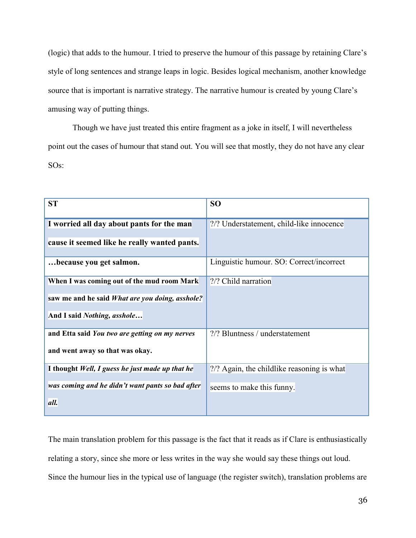(logic) that adds to the humour. I tried to preserve the humour of this passage by retaining Clare's style of long sentences and strange leaps in logic. Besides logical mechanism, another knowledge source that is important is narrative strategy. The narrative humour is created by young Clare's amusing way of putting things.

Though we have just treated this entire fragment as a joke in itself, I will nevertheless point out the cases of humour that stand out. You will see that mostly, they do not have any clear SOs:

| <b>ST</b>                                        | SO                                         |
|--------------------------------------------------|--------------------------------------------|
| I worried all day about pants for the man        | ?/? Understatement, child-like innocence   |
| cause it seemed like he really wanted pants.     |                                            |
| because you get salmon.                          | Linguistic humour. SO: Correct/incorrect   |
| When I was coming out of the mud room Mark       | ?/? Child narration                        |
| saw me and he said What are you doing, asshole?  |                                            |
| And I said <i>Nothing</i> , <i>asshole</i>       |                                            |
| and Etta said You two are getting on my nerves   | ?/? Bluntness / understatement             |
| and went away so that was okay.                  |                                            |
| I thought Well, I guess he just made up that he  | ?/? Again, the childlike reasoning is what |
| was coming and he didn't want pants so bad after | seems to make this funny.                  |
| all.                                             |                                            |

The main translation problem for this passage is the fact that it reads as if Clare is enthusiastically relating a story, since she more or less writes in the way she would say these things out loud. Since the humour lies in the typical use of language (the register switch), translation problems are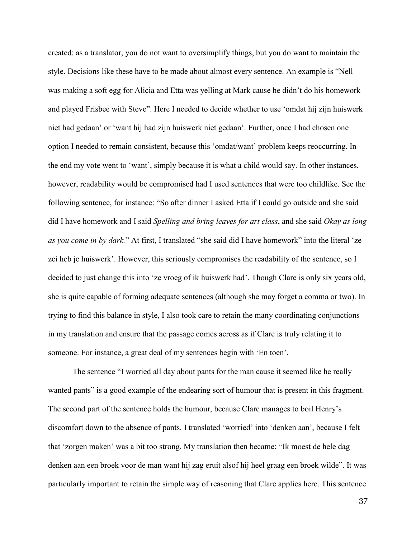created: as a translator, you do not want to oversimplify things, but you do want to maintain the style. Decisions like these have to be made about almost every sentence. An example is "Nell was making a soft egg for Alicia and Etta was yelling at Mark cause he didn't do his homework and played Frisbee with Steve". Here I needed to decide whether to use 'omdat hij zijn huiswerk niet had gedaan' or 'want hij had zijn huiswerk niet gedaan'. Further, once I had chosen one option I needed to remain consistent, because this 'omdat/want' problem keeps reoccurring. In the end my vote went to 'want', simply because it is what a child would say. In other instances, however, readability would be compromised had I used sentences that were too childlike. See the following sentence, for instance: "So after dinner I asked Etta if I could go outside and she said did I have homework and I said *Spelling and bring leaves for art class*, and she said *Okay as long as you come in by dark.*" At first, I translated "she said did I have homework" into the literal 'ze zei heb je huiswerk'. However, this seriously compromises the readability of the sentence, so I decided to just change this into 'ze vroeg of ik huiswerk had'. Though Clare is only six years old, she is quite capable of forming adequate sentences (although she may forget a comma or two). In trying to find this balance in style, I also took care to retain the many coordinating conjunctions in my translation and ensure that the passage comes across as if Clare is truly relating it to someone. For instance, a great deal of my sentences begin with 'En toen'.

The sentence "I worried all day about pants for the man cause it seemed like he really wanted pants" is a good example of the endearing sort of humour that is present in this fragment. The second part of the sentence holds the humour, because Clare manages to boil Henry's discomfort down to the absence of pants. I translated 'worried' into 'denken aan', because I felt that 'zorgen maken' was a bit too strong. My translation then became: "Ik moest de hele dag denken aan een broek voor de man want hij zag eruit alsof hij heel graag een broek wilde". It was particularly important to retain the simple way of reasoning that Clare applies here. This sentence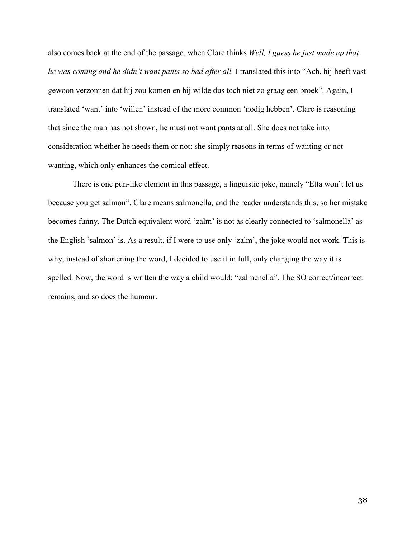also comes back at the end of the passage, when Clare thinks *Well, I guess he just made up that he was coming and he didn't want pants so bad after all.* I translated this into "Ach, hij heeft vast gewoon verzonnen dat hij zou komen en hij wilde dus toch niet zo graag een broek". Again, I translated 'want' into 'willen' instead of the more common 'nodig hebben'. Clare is reasoning that since the man has not shown, he must not want pants at all. She does not take into consideration whether he needs them or not: she simply reasons in terms of wanting or not wanting, which only enhances the comical effect.

There is one pun-like element in this passage, a linguistic joke, namely "Etta won't let us because you get salmon". Clare means salmonella, and the reader understands this, so her mistake becomes funny. The Dutch equivalent word 'zalm' is not as clearly connected to 'salmonella' as the English 'salmon' is. As a result, if I were to use only 'zalm', the joke would not work. This is why, instead of shortening the word, I decided to use it in full, only changing the way it is spelled. Now, the word is written the way a child would: "zalmenella". The SO correct/incorrect remains, and so does the humour.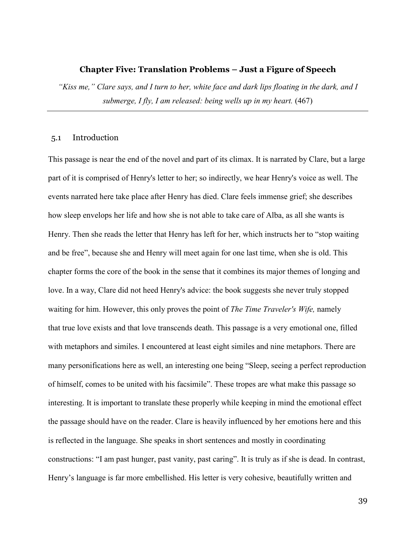#### **Chapter Five: Translation Problems – Just a Figure of Speech**

*"Kiss me," Clare says, and I turn to her, white face and dark lips floating in the dark, and I submerge, I fly, I am released: being wells up in my heart.* (467)

## 5.1 Introduction

This passage is near the end of the novel and part of its climax. It is narrated by Clare, but a large part of it is comprised of Henry's letter to her; so indirectly, we hear Henry's voice as well. The events narrated here take place after Henry has died. Clare feels immense grief; she describes how sleep envelops her life and how she is not able to take care of Alba, as all she wants is Henry. Then she reads the letter that Henry has left for her, which instructs her to "stop waiting and be free", because she and Henry will meet again for one last time, when she is old. This chapter forms the core of the book in the sense that it combines its major themes of longing and love. In a way, Clare did not heed Henry's advice: the book suggests she never truly stopped waiting for him. However, this only proves the point of *The Time Traveler's Wife,* namely that true love exists and that love transcends death. This passage is a very emotional one, filled with metaphors and similes. I encountered at least eight similes and nine metaphors. There are many personifications here as well, an interesting one being "Sleep, seeing a perfect reproduction of himself, comes to be united with his facsimile". These tropes are what make this passage so interesting. It is important to translate these properly while keeping in mind the emotional effect the passage should have on the reader. Clare is heavily influenced by her emotions here and this is reflected in the language. She speaks in short sentences and mostly in coordinating constructions: "I am past hunger, past vanity, past caring". It is truly as if she is dead. In contrast, Henry's language is far more embellished. His letter is very cohesive, beautifully written and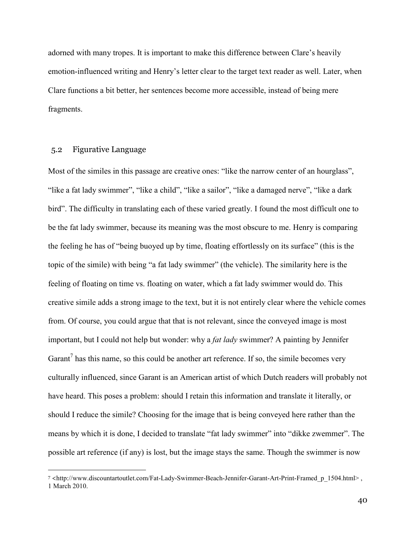adorned with many tropes. It is important to make this difference between Clare's heavily emotion-influenced writing and Henry's letter clear to the target text reader as well. Later, when Clare functions a bit better, her sentences become more accessible, instead of being mere fragments.

## 5.2 Figurative Language

-

Most of the similes in this passage are creative ones: "like the narrow center of an hourglass", "like a fat lady swimmer", "like a child", "like a sailor", "like a damaged nerve", "like a dark bird". The difficulty in translating each of these varied greatly. I found the most difficult one to be the fat lady swimmer, because its meaning was the most obscure to me. Henry is comparing the feeling he has of "being buoyed up by time, floating effortlessly on its surface" (this is the topic of the simile) with being "a fat lady swimmer" (the vehicle). The similarity here is the feeling of floating on time vs. floating on water, which a fat lady swimmer would do. This creative simile adds a strong image to the text, but it is not entirely clear where the vehicle comes from. Of course, you could argue that that is not relevant, since the conveyed image is most important, but I could not help but wonder: why a *fat lady* swimmer? A painting by Jennifer Garant<sup>7</sup> has this name, so this could be another art reference. If so, the simile becomes very culturally influenced, since Garant is an American artist of which Dutch readers will probably not have heard. This poses a problem: should I retain this information and translate it literally, or should I reduce the simile? Choosing for the image that is being conveyed here rather than the means by which it is done, I decided to translate "fat lady swimmer" into "dikke zwemmer". The possible art reference (if any) is lost, but the image stays the same. Though the swimmer is now

<sup>7 &</sup>lt;http://www.discountartoutlet.com/Fat-Lady-Swimmer-Beach-Jennifer-Garant-Art-Print-Framed\_p\_1504.html>, 1 March 2010.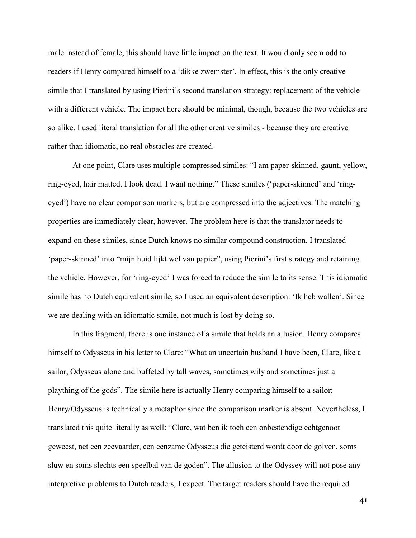male instead of female, this should have little impact on the text. It would only seem odd to readers if Henry compared himself to a 'dikke zwemster'. In effect, this is the only creative simile that I translated by using Pierini's second translation strategy: replacement of the vehicle with a different vehicle. The impact here should be minimal, though, because the two vehicles are so alike. I used literal translation for all the other creative similes - because they are creative rather than idiomatic, no real obstacles are created.

 At one point, Clare uses multiple compressed similes: "I am paper-skinned, gaunt, yellow, ring-eyed, hair matted. I look dead. I want nothing." These similes ('paper-skinned' and 'ringeyed') have no clear comparison markers, but are compressed into the adjectives. The matching properties are immediately clear, however. The problem here is that the translator needs to expand on these similes, since Dutch knows no similar compound construction. I translated 'paper-skinned' into "mijn huid lijkt wel van papier", using Pierini's first strategy and retaining the vehicle. However, for 'ring-eyed' I was forced to reduce the simile to its sense. This idiomatic simile has no Dutch equivalent simile, so I used an equivalent description: 'Ik heb wallen'. Since we are dealing with an idiomatic simile, not much is lost by doing so.

In this fragment, there is one instance of a simile that holds an allusion. Henry compares himself to Odysseus in his letter to Clare: "What an uncertain husband I have been, Clare, like a sailor, Odysseus alone and buffeted by tall waves, sometimes wily and sometimes just a plaything of the gods". The simile here is actually Henry comparing himself to a sailor; Henry/Odysseus is technically a metaphor since the comparison marker is absent. Nevertheless, I translated this quite literally as well: "Clare, wat ben ik toch een onbestendige echtgenoot geweest, net een zeevaarder, een eenzame Odysseus die geteisterd wordt door de golven, soms sluw en soms slechts een speelbal van de goden". The allusion to the Odyssey will not pose any interpretive problems to Dutch readers, I expect. The target readers should have the required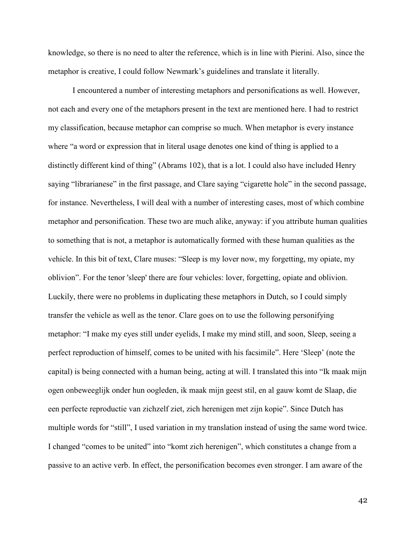knowledge, so there is no need to alter the reference, which is in line with Pierini. Also, since the metaphor is creative, I could follow Newmark's guidelines and translate it literally.

I encountered a number of interesting metaphors and personifications as well. However, not each and every one of the metaphors present in the text are mentioned here. I had to restrict my classification, because metaphor can comprise so much. When metaphor is every instance where "a word or expression that in literal usage denotes one kind of thing is applied to a distinctly different kind of thing" (Abrams 102), that is a lot. I could also have included Henry saying "librarianese" in the first passage, and Clare saying "cigarette hole" in the second passage, for instance. Nevertheless, I will deal with a number of interesting cases, most of which combine metaphor and personification. These two are much alike, anyway: if you attribute human qualities to something that is not, a metaphor is automatically formed with these human qualities as the vehicle. In this bit of text, Clare muses: "Sleep is my lover now, my forgetting, my opiate, my oblivion". For the tenor 'sleep' there are four vehicles: lover, forgetting, opiate and oblivion. Luckily, there were no problems in duplicating these metaphors in Dutch, so I could simply transfer the vehicle as well as the tenor. Clare goes on to use the following personifying metaphor: "I make my eyes still under eyelids, I make my mind still, and soon, Sleep, seeing a perfect reproduction of himself, comes to be united with his facsimile". Here 'Sleep' (note the capital) is being connected with a human being, acting at will. I translated this into "Ik maak mijn ogen onbeweeglijk onder hun oogleden, ik maak mijn geest stil, en al gauw komt de Slaap, die een perfecte reproductie van zichzelf ziet, zich herenigen met zijn kopie". Since Dutch has multiple words for "still", I used variation in my translation instead of using the same word twice. I changed "comes to be united" into "komt zich herenigen", which constitutes a change from a passive to an active verb. In effect, the personification becomes even stronger. I am aware of the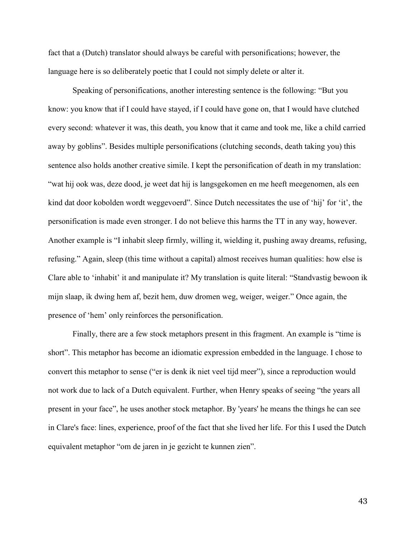fact that a (Dutch) translator should always be careful with personifications; however, the language here is so deliberately poetic that I could not simply delete or alter it.

Speaking of personifications, another interesting sentence is the following: "But you know: you know that if I could have stayed, if I could have gone on, that I would have clutched every second: whatever it was, this death, you know that it came and took me, like a child carried away by goblins". Besides multiple personifications (clutching seconds, death taking you) this sentence also holds another creative simile. I kept the personification of death in my translation: "wat hij ook was, deze dood, je weet dat hij is langsgekomen en me heeft meegenomen, als een kind dat door kobolden wordt weggevoerd". Since Dutch necessitates the use of 'hij' for 'it', the personification is made even stronger. I do not believe this harms the TT in any way, however. Another example is "I inhabit sleep firmly, willing it, wielding it, pushing away dreams, refusing, refusing." Again, sleep (this time without a capital) almost receives human qualities: how else is Clare able to 'inhabit' it and manipulate it? My translation is quite literal: "Standvastig bewoon ik mijn slaap, ik dwing hem af, bezit hem, duw dromen weg, weiger, weiger." Once again, the presence of 'hem' only reinforces the personification.

 Finally, there are a few stock metaphors present in this fragment. An example is "time is short". This metaphor has become an idiomatic expression embedded in the language. I chose to convert this metaphor to sense ("er is denk ik niet veel tijd meer"), since a reproduction would not work due to lack of a Dutch equivalent. Further, when Henry speaks of seeing "the years all present in your face", he uses another stock metaphor. By 'years' he means the things he can see in Clare's face: lines, experience, proof of the fact that she lived her life. For this I used the Dutch equivalent metaphor "om de jaren in je gezicht te kunnen zien".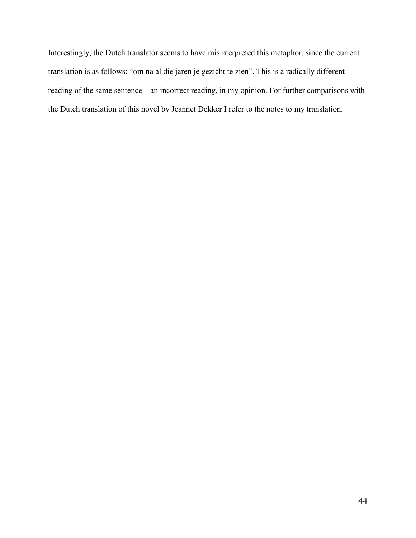Interestingly, the Dutch translator seems to have misinterpreted this metaphor, since the current translation is as follows: "om na al die jaren je gezicht te zien". This is a radically different reading of the same sentence – an incorrect reading, in my opinion. For further comparisons with the Dutch translation of this novel by Jeannet Dekker I refer to the notes to my translation.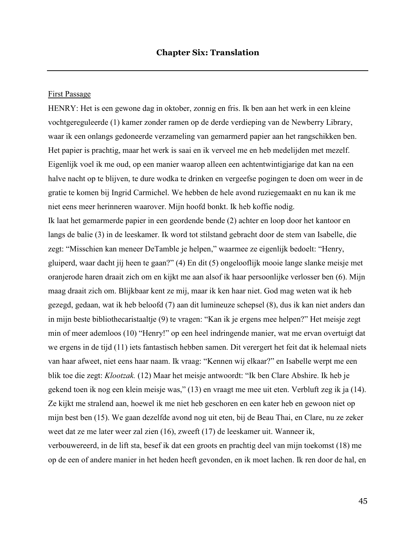## First Passage

HENRY: Het is een gewone dag in oktober, zonnig en fris. Ik ben aan het werk in een kleine vochtgereguleerde (1) kamer zonder ramen op de derde verdieping van de Newberry Library, waar ik een onlangs gedoneerde verzameling van gemarmerd papier aan het rangschikken ben. Het papier is prachtig, maar het werk is saai en ik verveel me en heb medelijden met mezelf. Eigenlijk voel ik me oud, op een manier waarop alleen een achtentwintigjarige dat kan na een halve nacht op te blijven, te dure wodka te drinken en vergeefse pogingen te doen om weer in de gratie te komen bij Ingrid Carmichel. We hebben de hele avond ruziegemaakt en nu kan ik me niet eens meer herinneren waarover. Mijn hoofd bonkt. Ik heb koffie nodig. Ik laat het gemarmerde papier in een geordende bende (2) achter en loop door het kantoor en langs de balie (3) in de leeskamer. Ik word tot stilstand gebracht door de stem van Isabelle, die zegt: "Misschien kan meneer DeTamble je helpen," waarmee ze eigenlijk bedoelt: "Henry, gluiperd, waar dacht jij heen te gaan?" (4) En dit (5) ongelooflijk mooie lange slanke meisje met oranjerode haren draait zich om en kijkt me aan alsof ik haar persoonlijke verlosser ben (6). Mijn maag draait zich om. Blijkbaar kent ze mij, maar ik ken haar niet. God mag weten wat ik heb gezegd, gedaan, wat ik heb beloofd (7) aan dit lumineuze schepsel (8), dus ik kan niet anders dan in mijn beste bibliothecaristaaltje (9) te vragen: "Kan ik je ergens mee helpen?" Het meisje zegt min of meer ademloos (10) "Henry!" op een heel indringende manier, wat me ervan overtuigt dat we ergens in de tijd (11) iets fantastisch hebben samen. Dit verergert het feit dat ik helemaal niets van haar afweet, niet eens haar naam. Ik vraag: "Kennen wij elkaar?" en Isabelle werpt me een blik toe die zegt: *Klootzak.* (12) Maar het meisje antwoordt: "Ik ben Clare Abshire. Ik heb je gekend toen ik nog een klein meisje was," (13) en vraagt me mee uit eten. Verbluft zeg ik ja (14). Ze kijkt me stralend aan, hoewel ik me niet heb geschoren en een kater heb en gewoon niet op mijn best ben (15). We gaan dezelfde avond nog uit eten, bij de Beau Thai, en Clare, nu ze zeker weet dat ze me later weer zal zien (16), zweeft (17) de leeskamer uit. Wanneer ik, verbouwereerd, in de lift sta, besef ik dat een groots en prachtig deel van mijn toekomst (18) me op de een of andere manier in het heden heeft gevonden, en ik moet lachen. Ik ren door de hal, en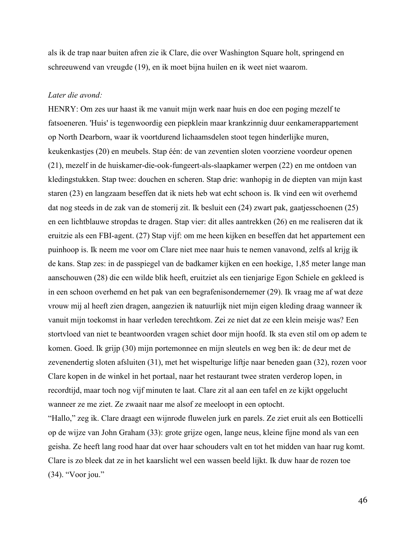als ik de trap naar buiten afren zie ik Clare, die over Washington Square holt, springend en schreeuwend van vreugde (19), en ik moet bijna huilen en ik weet niet waarom.

### *Later die avond:*

HENRY: Om zes uur haast ik me vanuit mijn werk naar huis en doe een poging mezelf te fatsoeneren. 'Huis' is tegenwoordig een piepklein maar krankzinnig duur eenkamerappartement op North Dearborn, waar ik voortdurend lichaamsdelen stoot tegen hinderlijke muren, keukenkastjes (20) en meubels. Stap één: de van zeventien sloten voorziene voordeur openen (21), mezelf in de huiskamer-die-ook-fungeert-als-slaapkamer werpen (22) en me ontdoen van kledingstukken. Stap twee: douchen en scheren. Stap drie: wanhopig in de diepten van mijn kast staren (23) en langzaam beseffen dat ik niets heb wat echt schoon is. Ik vind een wit overhemd dat nog steeds in de zak van de stomerij zit. Ik besluit een (24) zwart pak, gaatjesschoenen (25) en een lichtblauwe stropdas te dragen. Stap vier: dit alles aantrekken (26) en me realiseren dat ik eruitzie als een FBI-agent. (27) Stap vijf: om me heen kijken en beseffen dat het appartement een puinhoop is. Ik neem me voor om Clare niet mee naar huis te nemen vanavond, zelfs al krijg ik de kans. Stap zes: in de passpiegel van de badkamer kijken en een hoekige, 1,85 meter lange man aanschouwen (28) die een wilde blik heeft, eruitziet als een tienjarige Egon Schiele en gekleed is in een schoon overhemd en het pak van een begrafenisondernemer (29). Ik vraag me af wat deze vrouw mij al heeft zien dragen, aangezien ik natuurlijk niet mijn eigen kleding draag wanneer ik vanuit mijn toekomst in haar verleden terechtkom. Zei ze niet dat ze een klein meisje was? Een stortvloed van niet te beantwoorden vragen schiet door mijn hoofd. Ik sta even stil om op adem te komen. Goed. Ik grijp (30) mijn portemonnee en mijn sleutels en weg ben ik: de deur met de zevenendertig sloten afsluiten (31), met het wispelturige liftje naar beneden gaan (32), rozen voor Clare kopen in de winkel in het portaal, naar het restaurant twee straten verderop lopen, in recordtijd, maar toch nog vijf minuten te laat. Clare zit al aan een tafel en ze kijkt opgelucht wanneer ze me ziet. Ze zwaait naar me alsof ze meeloopt in een optocht.

"Hallo," zeg ik. Clare draagt een wijnrode fluwelen jurk en parels. Ze ziet eruit als een Botticelli op de wijze van John Graham (33): grote grijze ogen, lange neus, kleine fijne mond als van een geisha. Ze heeft lang rood haar dat over haar schouders valt en tot het midden van haar rug komt. Clare is zo bleek dat ze in het kaarslicht wel een wassen beeld lijkt. Ik duw haar de rozen toe (34). "Voor jou."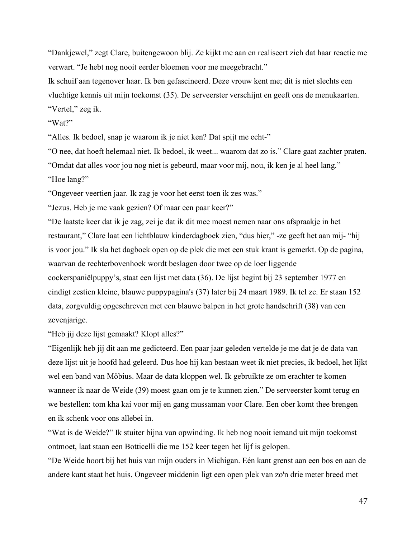"Dankjewel," zegt Clare, buitengewoon blij. Ze kijkt me aan en realiseert zich dat haar reactie me verwart. "Je hebt nog nooit eerder bloemen voor me meegebracht."

Ik schuif aan tegenover haar. Ik ben gefascineerd. Deze vrouw kent me; dit is niet slechts een vluchtige kennis uit mijn toekomst (35). De serveerster verschijnt en geeft ons de menukaarten. "Vertel," zeg ik.

"Wat?"

"Alles. Ik bedoel, snap je waarom ik je niet ken? Dat spijt me echt-"

"O nee, dat hoeft helemaal niet. Ik bedoel, ik weet... waarom dat zo is." Clare gaat zachter praten. "Omdat dat alles voor jou nog niet is gebeurd, maar voor mij, nou, ik ken je al heel lang." "Hoe lang?"

"Ongeveer veertien jaar. Ik zag je voor het eerst toen ik zes was."

"Jezus. Heb je me vaak gezien? Of maar een paar keer?"

"De laatste keer dat ik je zag, zei je dat ik dit mee moest nemen naar ons afspraakje in het restaurant," Clare laat een lichtblauw kinderdagboek zien, "dus hier," -ze geeft het aan mij- "hij is voor jou." Ik sla het dagboek open op de plek die met een stuk krant is gemerkt. Op de pagina, waarvan de rechterbovenhoek wordt beslagen door twee op de loer liggende

cockerspaniëlpuppy's, staat een lijst met data (36). De lijst begint bij 23 september 1977 en eindigt zestien kleine, blauwe puppypagina's (37) later bij 24 maart 1989. Ik tel ze. Er staan 152 data, zorgvuldig opgeschreven met een blauwe balpen in het grote handschrift (38) van een zevenjarige.

"Heb jij deze lijst gemaakt? Klopt alles?"

"Eigenlijk heb jij dit aan me gedicteerd. Een paar jaar geleden vertelde je me dat je de data van deze lijst uit je hoofd had geleerd. Dus hoe hij kan bestaan weet ik niet precies, ik bedoel, het lijkt wel een band van Möbius. Maar de data kloppen wel. Ik gebruikte ze om erachter te komen wanneer ik naar de Weide (39) moest gaan om je te kunnen zien." De serveerster komt terug en we bestellen: tom kha kai voor mij en gang mussaman voor Clare. Een ober komt thee brengen en ik schenk voor ons allebei in.

"Wat is de Weide?" Ik stuiter bijna van opwinding. Ik heb nog nooit iemand uit mijn toekomst ontmoet, laat staan een Botticelli die me 152 keer tegen het lijf is gelopen.

"De Weide hoort bij het huis van mijn ouders in Michigan. Eén kant grenst aan een bos en aan de andere kant staat het huis. Ongeveer middenin ligt een open plek van zo'n drie meter breed met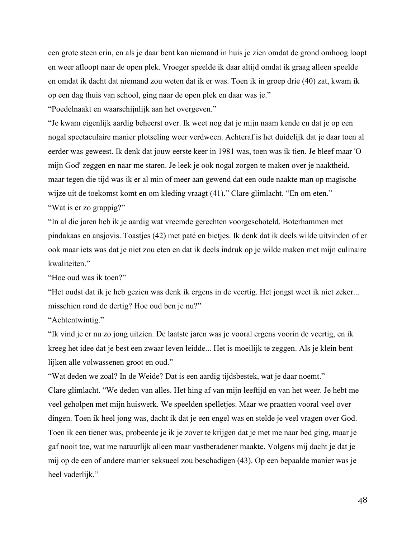een grote steen erin, en als je daar bent kan niemand in huis je zien omdat de grond omhoog loopt en weer afloopt naar de open plek. Vroeger speelde ik daar altijd omdat ik graag alleen speelde en omdat ik dacht dat niemand zou weten dat ik er was. Toen ik in groep drie (40) zat, kwam ik op een dag thuis van school, ging naar de open plek en daar was je."

"Poedelnaakt en waarschijnlijk aan het overgeven."

"Je kwam eigenlijk aardig beheerst over. Ik weet nog dat je mijn naam kende en dat je op een nogal spectaculaire manier plotseling weer verdween. Achteraf is het duidelijk dat je daar toen al eerder was geweest. Ik denk dat jouw eerste keer in 1981 was, toen was ik tien. Je bleef maar 'O mijn God' zeggen en naar me staren. Je leek je ook nogal zorgen te maken over je naaktheid, maar tegen die tijd was ik er al min of meer aan gewend dat een oude naakte man op magische wijze uit de toekomst komt en om kleding vraagt (41)." Clare glimlacht. "En om eten." "Wat is er zo grappig?"

"In al die jaren heb ik je aardig wat vreemde gerechten voorgeschoteld. Boterhammen met pindakaas en ansjovis. Toastjes (42) met paté en bietjes. Ik denk dat ik deels wilde uitvinden of er ook maar iets was dat je niet zou eten en dat ik deels indruk op je wilde maken met mijn culinaire kwaliteiten<sup>"</sup>

"Hoe oud was ik toen?"

"Het oudst dat ik je heb gezien was denk ik ergens in de veertig. Het jongst weet ik niet zeker... misschien rond de dertig? Hoe oud ben je nu?"

"Achtentwintig."

"Ik vind je er nu zo jong uitzien. De laatste jaren was je vooral ergens voorin de veertig, en ik kreeg het idee dat je best een zwaar leven leidde... Het is moeilijk te zeggen. Als je klein bent lijken alle volwassenen groot en oud."

"Wat deden we zoal? In de Weide? Dat is een aardig tijdsbestek, wat je daar noemt." Clare glimlacht. "We deden van alles. Het hing af van mijn leeftijd en van het weer. Je hebt me veel geholpen met mijn huiswerk. We speelden spelletjes. Maar we praatten vooral veel over dingen. Toen ik heel jong was, dacht ik dat je een engel was en stelde je veel vragen over God. Toen ik een tiener was, probeerde je ik je zover te krijgen dat je met me naar bed ging, maar je gaf nooit toe, wat me natuurlijk alleen maar vastberadener maakte. Volgens mij dacht je dat je mij op de een of andere manier seksueel zou beschadigen (43). Op een bepaalde manier was je heel vaderlijk."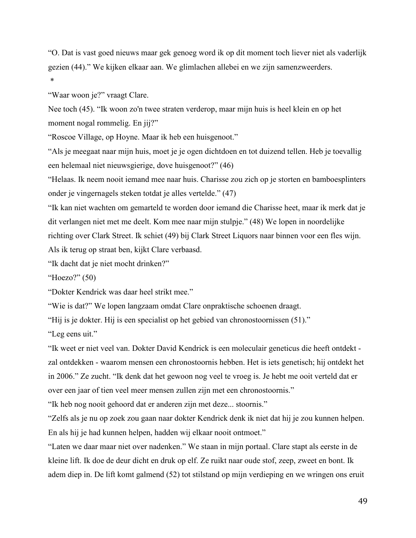"O. Dat is vast goed nieuws maar gek genoeg word ik op dit moment toch liever niet als vaderlijk gezien (44)." We kijken elkaar aan. We glimlachen allebei en we zijn samenzweerders. \*

"Waar woon je?" vraagt Clare.

Nee toch (45). "Ik woon zo'n twee straten verderop, maar mijn huis is heel klein en op het moment nogal rommelig. En jij?"

"Roscoe Village, op Hoyne. Maar ik heb een huisgenoot."

"Als je meegaat naar mijn huis, moet je je ogen dichtdoen en tot duizend tellen. Heb je toevallig een helemaal niet nieuwsgierige, dove huisgenoot?" (46)

"Helaas. Ik neem nooit iemand mee naar huis. Charisse zou zich op je storten en bamboesplinters onder je vingernagels steken totdat je alles vertelde." (47)

"Ik kan niet wachten om gemarteld te worden door iemand die Charisse heet, maar ik merk dat je dit verlangen niet met me deelt. Kom mee naar mijn stulpje." (48) We lopen in noordelijke richting over Clark Street. Ik schiet (49) bij Clark Street Liquors naar binnen voor een fles wijn. Als ik terug op straat ben, kijkt Clare verbaasd.

"Ik dacht dat je niet mocht drinken?"

"Hoezo?" (50)

"Dokter Kendrick was daar heel strikt mee."

"Wie is dat?" We lopen langzaam omdat Clare onpraktische schoenen draagt.

"Hij is je dokter. Hij is een specialist op het gebied van chronostoornissen (51)."

"Leg eens uit."

"Ik weet er niet veel van. Dokter David Kendrick is een moleculair geneticus die heeft ontdekt zal ontdekken - waarom mensen een chronostoornis hebben. Het is iets genetisch; hij ontdekt het in 2006." Ze zucht. "Ik denk dat het gewoon nog veel te vroeg is. Je hebt me ooit verteld dat er over een jaar of tien veel meer mensen zullen zijn met een chronostoornis."

"Ik heb nog nooit gehoord dat er anderen zijn met deze... stoornis."

"Zelfs als je nu op zoek zou gaan naar dokter Kendrick denk ik niet dat hij je zou kunnen helpen. En als hij je had kunnen helpen, hadden wij elkaar nooit ontmoet."

"Laten we daar maar niet over nadenken." We staan in mijn portaal. Clare stapt als eerste in de kleine lift. Ik doe de deur dicht en druk op elf. Ze ruikt naar oude stof, zeep, zweet en bont. Ik adem diep in. De lift komt galmend (52) tot stilstand op mijn verdieping en we wringen ons eruit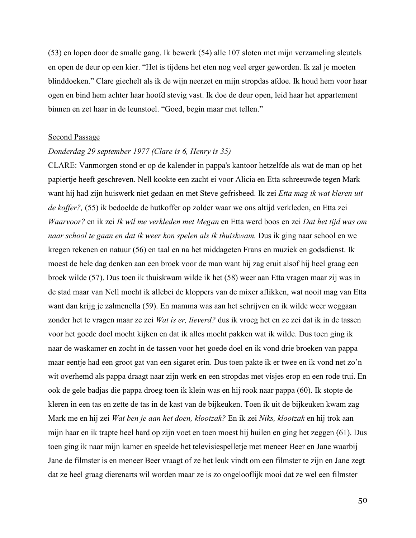(53) en lopen door de smalle gang. Ik bewerk (54) alle 107 sloten met mijn verzameling sleutels en open de deur op een kier. "Het is tijdens het eten nog veel erger geworden. Ik zal je moeten blinddoeken." Clare giechelt als ik de wijn neerzet en mijn stropdas afdoe. Ik houd hem voor haar ogen en bind hem achter haar hoofd stevig vast. Ik doe de deur open, leid haar het appartement binnen en zet haar in de leunstoel. "Goed, begin maar met tellen."

#### Second Passage

#### *Donderdag 29 september 1977 (Clare is 6, Henry is 35)*

CLARE: Vanmorgen stond er op de kalender in pappa's kantoor hetzelfde als wat de man op het papiertje heeft geschreven. Nell kookte een zacht ei voor Alicia en Etta schreeuwde tegen Mark want hij had zijn huiswerk niet gedaan en met Steve gefrisbeed. Ik zei *Etta mag ik wat kleren uit de koffer?,* (55) ik bedoelde de hutkoffer op zolder waar we ons altijd verkleden, en Etta zei *Waarvoor?* en ik zei *Ik wil me verkleden met Megan* en Etta werd boos en zei *Dat het tijd was om naar school te gaan en dat ik weer kon spelen als ik thuiskwam.* Dus ik ging naar school en we kregen rekenen en natuur (56) en taal en na het middageten Frans en muziek en godsdienst. Ik moest de hele dag denken aan een broek voor de man want hij zag eruit alsof hij heel graag een broek wilde (57). Dus toen ik thuiskwam wilde ik het (58) weer aan Etta vragen maar zij was in de stad maar van Nell mocht ik allebei de kloppers van de mixer aflikken, wat nooit mag van Etta want dan krijg je zalmenella (59). En mamma was aan het schrijven en ik wilde weer weggaan zonder het te vragen maar ze zei *Wat is er, lieverd?* dus ik vroeg het en ze zei dat ik in de tassen voor het goede doel mocht kijken en dat ik alles mocht pakken wat ik wilde. Dus toen ging ik naar de waskamer en zocht in de tassen voor het goede doel en ik vond drie broeken van pappa maar eentje had een groot gat van een sigaret erin. Dus toen pakte ik er twee en ik vond net zo'n wit overhemd als pappa draagt naar zijn werk en een stropdas met visjes erop en een rode trui. En ook de gele badjas die pappa droeg toen ik klein was en hij rook naar pappa (60). Ik stopte de kleren in een tas en zette de tas in de kast van de bijkeuken. Toen ik uit de bijkeuken kwam zag Mark me en hij zei *Wat ben je aan het doen, klootzak?* En ik zei *Niks, klootzak* en hij trok aan mijn haar en ik trapte heel hard op zijn voet en toen moest hij huilen en ging het zeggen (61). Dus toen ging ik naar mijn kamer en speelde het televisiespelletje met meneer Beer en Jane waarbij Jane de filmster is en meneer Beer vraagt of ze het leuk vindt om een filmster te zijn en Jane zegt dat ze heel graag dierenarts wil worden maar ze is zo ongelooflijk mooi dat ze wel een filmster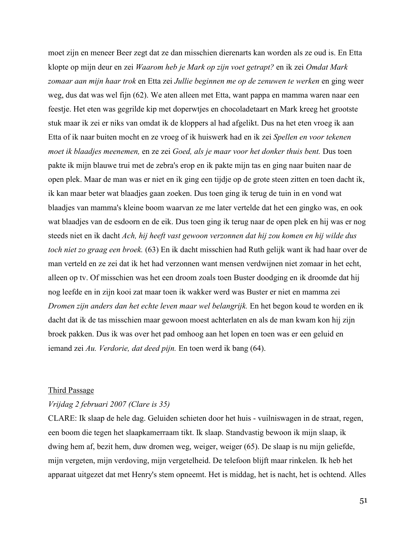moet zijn en meneer Beer zegt dat ze dan misschien dierenarts kan worden als ze oud is. En Etta klopte op mijn deur en zei *Waarom heb je Mark op zijn voet getrapt?* en ik zei *Omdat Mark zomaar aan mijn haar trok* en Etta zei *Jullie beginnen me op de zenuwen te werken* en ging weer weg, dus dat was wel fijn (62). We aten alleen met Etta, want pappa en mamma waren naar een feestje. Het eten was gegrilde kip met doperwtjes en chocoladetaart en Mark kreeg het grootste stuk maar ik zei er niks van omdat ik de kloppers al had afgelikt. Dus na het eten vroeg ik aan Etta of ik naar buiten mocht en ze vroeg of ik huiswerk had en ik zei *Spellen en voor tekenen moet ik blaadjes meenemen,* en ze zei *Goed, als je maar voor het donker thuis bent.* Dus toen pakte ik mijn blauwe trui met de zebra's erop en ik pakte mijn tas en ging naar buiten naar de open plek. Maar de man was er niet en ik ging een tijdje op de grote steen zitten en toen dacht ik, ik kan maar beter wat blaadjes gaan zoeken. Dus toen ging ik terug de tuin in en vond wat blaadjes van mamma's kleine boom waarvan ze me later vertelde dat het een gingko was, en ook wat blaadjes van de esdoorn en de eik. Dus toen ging ik terug naar de open plek en hij was er nog steeds niet en ik dacht *Ach, hij heeft vast gewoon verzonnen dat hij zou komen en hij wilde dus toch niet zo graag een broek.* (63) En ik dacht misschien had Ruth gelijk want ik had haar over de man verteld en ze zei dat ik het had verzonnen want mensen verdwijnen niet zomaar in het echt, alleen op tv. Of misschien was het een droom zoals toen Buster doodging en ik droomde dat hij nog leefde en in zijn kooi zat maar toen ik wakker werd was Buster er niet en mamma zei *Dromen zijn anders dan het echte leven maar wel belangrijk.* En het begon koud te worden en ik dacht dat ik de tas misschien maar gewoon moest achterlaten en als de man kwam kon hij zijn broek pakken. Dus ik was over het pad omhoog aan het lopen en toen was er een geluid en iemand zei *Au. Verdorie, dat deed pijn.* En toen werd ik bang (64).

#### Third Passage

## *Vrijdag 2 februari 2007 (Clare is 35)*

CLARE: Ik slaap de hele dag. Geluiden schieten door het huis - vuilniswagen in de straat, regen, een boom die tegen het slaapkamerraam tikt. Ik slaap. Standvastig bewoon ik mijn slaap, ik dwing hem af, bezit hem, duw dromen weg, weiger, weiger (65). De slaap is nu mijn geliefde, mijn vergeten, mijn verdoving, mijn vergetelheid. De telefoon blijft maar rinkelen. Ik heb het apparaat uitgezet dat met Henry's stem opneemt. Het is middag, het is nacht, het is ochtend. Alles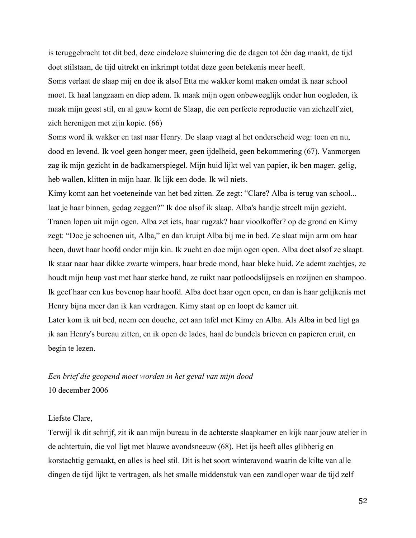is teruggebracht tot dit bed, deze eindeloze sluimering die de dagen tot één dag maakt, de tijd doet stilstaan, de tijd uitrekt en inkrimpt totdat deze geen betekenis meer heeft. Soms verlaat de slaap mij en doe ik alsof Etta me wakker komt maken omdat ik naar school moet. Ik haal langzaam en diep adem. Ik maak mijn ogen onbeweeglijk onder hun oogleden, ik maak mijn geest stil, en al gauw komt de Slaap, die een perfecte reproductie van zichzelf ziet, zich herenigen met zijn kopie. (66)

Soms word ik wakker en tast naar Henry. De slaap vaagt al het onderscheid weg: toen en nu, dood en levend. Ik voel geen honger meer, geen ijdelheid, geen bekommering (67). Vanmorgen zag ik mijn gezicht in de badkamerspiegel. Mijn huid lijkt wel van papier, ik ben mager, gelig, heb wallen, klitten in mijn haar. Ik lijk een dode. Ik wil niets.

Kimy komt aan het voeteneinde van het bed zitten. Ze zegt: "Clare? Alba is terug van school... laat je haar binnen, gedag zeggen?" Ik doe alsof ik slaap. Alba's handje streelt mijn gezicht. Tranen lopen uit mijn ogen. Alba zet iets, haar rugzak? haar vioolkoffer? op de grond en Kimy zegt: "Doe je schoenen uit, Alba," en dan kruipt Alba bij me in bed. Ze slaat mijn arm om haar heen, duwt haar hoofd onder mijn kin. Ik zucht en doe mijn ogen open. Alba doet alsof ze slaapt. Ik staar naar haar dikke zwarte wimpers, haar brede mond, haar bleke huid. Ze ademt zachtjes, ze houdt mijn heup vast met haar sterke hand, ze ruikt naar potloodslijpsels en rozijnen en shampoo. Ik geef haar een kus bovenop haar hoofd. Alba doet haar ogen open, en dan is haar gelijkenis met Henry bijna meer dan ik kan verdragen. Kimy staat op en loopt de kamer uit.

Later kom ik uit bed, neem een douche, eet aan tafel met Kimy en Alba. Als Alba in bed ligt ga ik aan Henry's bureau zitten, en ik open de lades, haal de bundels brieven en papieren eruit, en begin te lezen.

# *Een brief die geopend moet worden in het geval van mijn dood* 10 december 2006

## Liefste Clare,

Terwijl ik dit schrijf, zit ik aan mijn bureau in de achterste slaapkamer en kijk naar jouw atelier in de achtertuin, die vol ligt met blauwe avondsneeuw (68). Het ijs heeft alles glibberig en korstachtig gemaakt, en alles is heel stil. Dit is het soort winteravond waarin de kilte van alle dingen de tijd lijkt te vertragen, als het smalle middenstuk van een zandloper waar de tijd zelf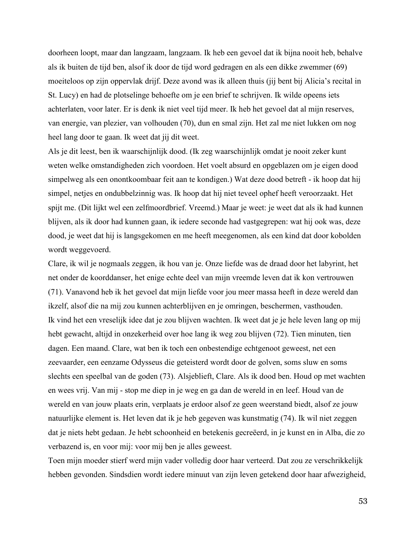doorheen loopt, maar dan langzaam, langzaam. Ik heb een gevoel dat ik bijna nooit heb, behalve als ik buiten de tijd ben, alsof ik door de tijd word gedragen en als een dikke zwemmer (69) moeiteloos op zijn oppervlak drijf. Deze avond was ik alleen thuis (jij bent bij Alicia's recital in St. Lucy) en had de plotselinge behoefte om je een brief te schrijven. Ik wilde opeens iets achterlaten, voor later. Er is denk ik niet veel tijd meer. Ik heb het gevoel dat al mijn reserves, van energie, van plezier, van volhouden (70), dun en smal zijn. Het zal me niet lukken om nog heel lang door te gaan. Ik weet dat jij dit weet.

Als je dit leest, ben ik waarschijnlijk dood. (Ik zeg waarschijnlijk omdat je nooit zeker kunt weten welke omstandigheden zich voordoen. Het voelt absurd en opgeblazen om je eigen dood simpelweg als een onontkoombaar feit aan te kondigen.) Wat deze dood betreft - ik hoop dat hij simpel, netjes en ondubbelzinnig was. Ik hoop dat hij niet teveel ophef heeft veroorzaakt. Het spijt me. (Dit lijkt wel een zelfmoordbrief. Vreemd.) Maar je weet: je weet dat als ik had kunnen blijven, als ik door had kunnen gaan, ik iedere seconde had vastgegrepen: wat hij ook was, deze dood, je weet dat hij is langsgekomen en me heeft meegenomen, als een kind dat door kobolden wordt weggevoerd.

Clare, ik wil je nogmaals zeggen, ik hou van je. Onze liefde was de draad door het labyrint, het net onder de koorddanser, het enige echte deel van mijn vreemde leven dat ik kon vertrouwen (71). Vanavond heb ik het gevoel dat mijn liefde voor jou meer massa heeft in deze wereld dan ikzelf, alsof die na mij zou kunnen achterblijven en je omringen, beschermen, vasthouden. Ik vind het een vreselijk idee dat je zou blijven wachten. Ik weet dat je je hele leven lang op mij hebt gewacht, altijd in onzekerheid over hoe lang ik weg zou blijven (72). Tien minuten, tien dagen. Een maand. Clare, wat ben ik toch een onbestendige echtgenoot geweest, net een zeevaarder, een eenzame Odysseus die geteisterd wordt door de golven, soms sluw en soms slechts een speelbal van de goden (73). Alsjeblieft, Clare. Als ik dood ben. Houd op met wachten en wees vrij. Van mij - stop me diep in je weg en ga dan de wereld in en leef. Houd van de wereld en van jouw plaats erin, verplaats je erdoor alsof ze geen weerstand biedt, alsof ze jouw natuurlijke element is. Het leven dat ik je heb gegeven was kunstmatig (74). Ik wil niet zeggen dat je niets hebt gedaan. Je hebt schoonheid en betekenis gecreëerd, in je kunst en in Alba, die zo verbazend is, en voor mij: voor mij ben je alles geweest.

Toen mijn moeder stierf werd mijn vader volledig door haar verteerd. Dat zou ze verschrikkelijk hebben gevonden. Sindsdien wordt iedere minuut van zijn leven getekend door haar afwezigheid,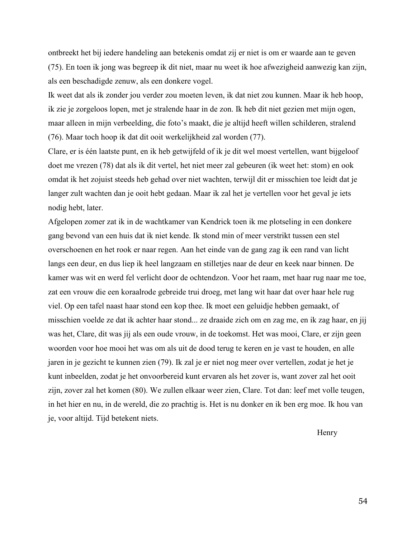ontbreekt het bij iedere handeling aan betekenis omdat zij er niet is om er waarde aan te geven (75). En toen ik jong was begreep ik dit niet, maar nu weet ik hoe afwezigheid aanwezig kan zijn, als een beschadigde zenuw, als een donkere vogel.

Ik weet dat als ik zonder jou verder zou moeten leven, ik dat niet zou kunnen. Maar ik heb hoop, ik zie je zorgeloos lopen, met je stralende haar in de zon. Ik heb dit niet gezien met mijn ogen, maar alleen in mijn verbeelding, die foto's maakt, die je altijd heeft willen schilderen, stralend (76). Maar toch hoop ik dat dit ooit werkelijkheid zal worden (77).

Clare, er is één laatste punt, en ik heb getwijfeld of ik je dit wel moest vertellen, want bijgeloof doet me vrezen (78) dat als ik dit vertel, het niet meer zal gebeuren (ik weet het: stom) en ook omdat ik het zojuist steeds heb gehad over niet wachten, terwijl dit er misschien toe leidt dat je langer zult wachten dan je ooit hebt gedaan. Maar ik zal het je vertellen voor het geval je iets nodig hebt, later.

Afgelopen zomer zat ik in de wachtkamer van Kendrick toen ik me plotseling in een donkere gang bevond van een huis dat ik niet kende. Ik stond min of meer verstrikt tussen een stel overschoenen en het rook er naar regen. Aan het einde van de gang zag ik een rand van licht langs een deur, en dus liep ik heel langzaam en stilletjes naar de deur en keek naar binnen. De kamer was wit en werd fel verlicht door de ochtendzon. Voor het raam, met haar rug naar me toe, zat een vrouw die een koraalrode gebreide trui droeg, met lang wit haar dat over haar hele rug viel. Op een tafel naast haar stond een kop thee. Ik moet een geluidje hebben gemaakt, of misschien voelde ze dat ik achter haar stond... ze draaide zich om en zag me, en ik zag haar, en jij was het, Clare, dit was jij als een oude vrouw, in de toekomst. Het was mooi, Clare, er zijn geen woorden voor hoe mooi het was om als uit de dood terug te keren en je vast te houden, en alle jaren in je gezicht te kunnen zien (79). Ik zal je er niet nog meer over vertellen, zodat je het je kunt inbeelden, zodat je het onvoorbereid kunt ervaren als het zover is, want zover zal het ooit zijn, zover zal het komen (80). We zullen elkaar weer zien, Clare. Tot dan: leef met volle teugen, in het hier en nu, in de wereld, die zo prachtig is. Het is nu donker en ik ben erg moe. Ik hou van je, voor altijd. Tijd betekent niets.

Henry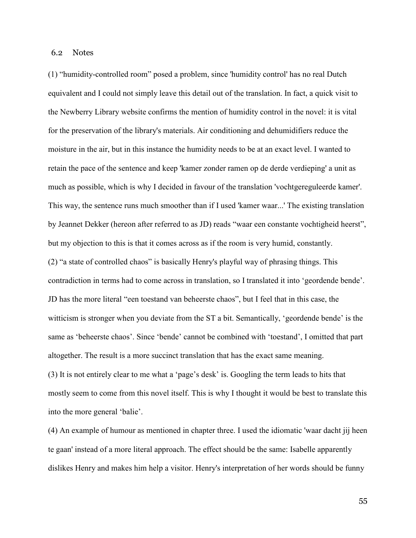6.2 Notes

(1) "humidity-controlled room" posed a problem, since 'humidity control' has no real Dutch equivalent and I could not simply leave this detail out of the translation. In fact, a quick visit to the Newberry Library website confirms the mention of humidity control in the novel: it is vital for the preservation of the library's materials. Air conditioning and dehumidifiers reduce the moisture in the air, but in this instance the humidity needs to be at an exact level. I wanted to retain the pace of the sentence and keep 'kamer zonder ramen op de derde verdieping' a unit as much as possible, which is why I decided in favour of the translation 'vochtgereguleerde kamer'. This way, the sentence runs much smoother than if I used 'kamer waar...' The existing translation by Jeannet Dekker (hereon after referred to as JD) reads "waar een constante vochtigheid heerst", but my objection to this is that it comes across as if the room is very humid, constantly. (2) "a state of controlled chaos" is basically Henry's playful way of phrasing things. This contradiction in terms had to come across in translation, so I translated it into 'geordende bende'. JD has the more literal "een toestand van beheerste chaos", but I feel that in this case, the witticism is stronger when you deviate from the ST a bit. Semantically, 'geordende bende' is the same as 'beheerste chaos'. Since 'bende' cannot be combined with 'toestand', I omitted that part altogether. The result is a more succinct translation that has the exact same meaning. (3) It is not entirely clear to me what a 'page's desk' is. Googling the term leads to hits that mostly seem to come from this novel itself. This is why I thought it would be best to translate this into the more general 'balie'.

(4) An example of humour as mentioned in chapter three. I used the idiomatic 'waar dacht jij heen te gaan' instead of a more literal approach. The effect should be the same: Isabelle apparently dislikes Henry and makes him help a visitor. Henry's interpretation of her words should be funny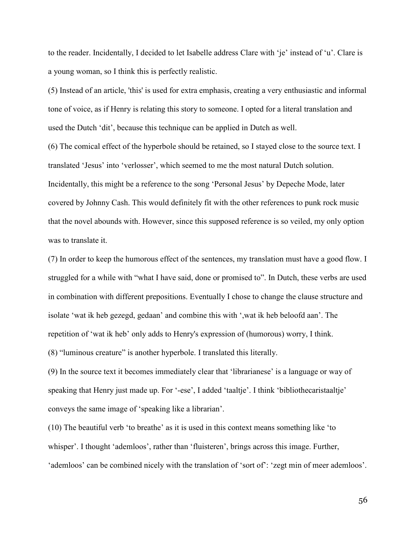to the reader. Incidentally, I decided to let Isabelle address Clare with 'je' instead of 'u'. Clare is a young woman, so I think this is perfectly realistic.

(5) Instead of an article, 'this' is used for extra emphasis, creating a very enthusiastic and informal tone of voice, as if Henry is relating this story to someone. I opted for a literal translation and used the Dutch 'dit', because this technique can be applied in Dutch as well.

(6) The comical effect of the hyperbole should be retained, so I stayed close to the source text. I translated 'Jesus' into 'verlosser', which seemed to me the most natural Dutch solution. Incidentally, this might be a reference to the song 'Personal Jesus' by Depeche Mode, later covered by Johnny Cash. This would definitely fit with the other references to punk rock music that the novel abounds with. However, since this supposed reference is so veiled, my only option was to translate it.

(7) In order to keep the humorous effect of the sentences, my translation must have a good flow. I struggled for a while with "what I have said, done or promised to". In Dutch, these verbs are used in combination with different prepositions. Eventually I chose to change the clause structure and isolate 'wat ik heb gezegd, gedaan' and combine this with ',wat ik heb beloofd aan'. The repetition of 'wat ik heb' only adds to Henry's expression of (humorous) worry, I think. (8) "luminous creature" is another hyperbole. I translated this literally.

(9) In the source text it becomes immediately clear that 'librarianese' is a language or way of speaking that Henry just made up. For '-ese', I added 'taaltje'. I think 'bibliothecaristaaltje' conveys the same image of 'speaking like a librarian'.

(10) The beautiful verb 'to breathe' as it is used in this context means something like 'to whisper'. I thought 'ademloos', rather than 'fluisteren', brings across this image. Further, 'ademloos' can be combined nicely with the translation of 'sort of': 'zegt min of meer ademloos'.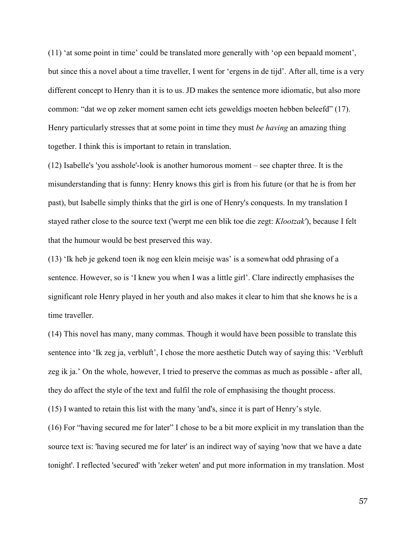(11) 'at some point in time' could be translated more generally with 'op een bepaald moment', but since this a novel about a time traveller, I went for 'ergens in de tijd'. After all, time is a very different concept to Henry than it is to us. JD makes the sentence more idiomatic, but also more common: "dat we op zeker moment samen echt iets geweldigs moeten hebben beleefd" (17). Henry particularly stresses that at some point in time they must *be having* an amazing thing together. I think this is important to retain in translation.

(12) Isabelle's 'you asshole'-look is another humorous moment – see chapter three. It is the misunderstanding that is funny: Henry knows this girl is from his future (or that he is from her past), but Isabelle simply thinks that the girl is one of Henry's conquests. In my translation I stayed rather close to the source text ('werpt me een blik toe die zegt: *Klootzak'*), because I felt that the humour would be best preserved this way.

(13) 'Ik heb je gekend toen ik nog een klein meisje was' is a somewhat odd phrasing of a sentence. However, so is 'I knew you when I was a little girl'. Clare indirectly emphasises the significant role Henry played in her youth and also makes it clear to him that she knows he is a time traveller.

(14) This novel has many, many commas. Though it would have been possible to translate this sentence into 'Ik zeg ja, verbluft', I chose the more aesthetic Dutch way of saying this: 'Verbluft zeg ik ja.' On the whole, however, I tried to preserve the commas as much as possible - after all, they do affect the style of the text and fulfil the role of emphasising the thought process.

(15) I wanted to retain this list with the many 'and's, since it is part of Henry's style.

(16) For "having secured me for later" I chose to be a bit more explicit in my translation than the source text is: 'having secured me for later' is an indirect way of saying 'now that we have a date tonight'. I reflected 'secured' with 'zeker weten' and put more information in my translation. Most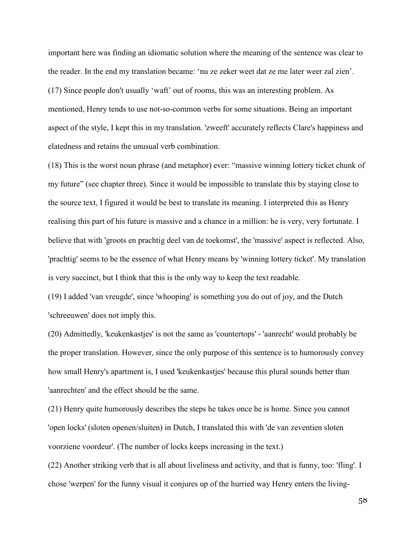important here was finding an idiomatic solution where the meaning of the sentence was clear to the reader. In the end my translation became: 'nu ze zeker weet dat ze me later weer zal zien'. (17) Since people don't usually 'waft' out of rooms, this was an interesting problem. As mentioned, Henry tends to use not-so-common verbs for some situations. Being an important aspect of the style, I kept this in my translation. 'zweeft' accurately reflects Clare's happiness and elatedness and retains the unusual verb combination.

(18) This is the worst noun phrase (and metaphor) ever: "massive winning lottery ticket chunk of my future" (see chapter three). Since it would be impossible to translate this by staying close to the source text, I figured it would be best to translate its meaning. I interpreted this as Henry realising this part of his future is massive and a chance in a million: he is very, very fortunate. I believe that with 'groots en prachtig deel van de toekomst', the 'massive' aspect is reflected. Also, 'prachtig' seems to be the essence of what Henry means by 'winning lottery ticket'. My translation is very succinct, but I think that this is the only way to keep the text readable.

(19) I added 'van vreugde', since 'whooping' is something you do out of joy, and the Dutch 'schreeuwen' does not imply this.

(20) Admittedly, 'keukenkastjes' is not the same as 'countertops' - 'aanrecht' would probably be the proper translation. However, since the only purpose of this sentence is to humorously convey how small Henry's apartment is, I used 'keukenkastjes' because this plural sounds better than 'aanrechten' and the effect should be the same.

(21) Henry quite humorously describes the steps he takes once he is home. Since you cannot 'open locks' (sloten openen/sluiten) in Dutch, I translated this with 'de van zeventien sloten voorziene voordeur'. (The number of locks keeps increasing in the text.)

(22) Another striking verb that is all about liveliness and activity, and that is funny, too: 'fling'. I chose 'werpen' for the funny visual it conjures up of the hurried way Henry enters the living-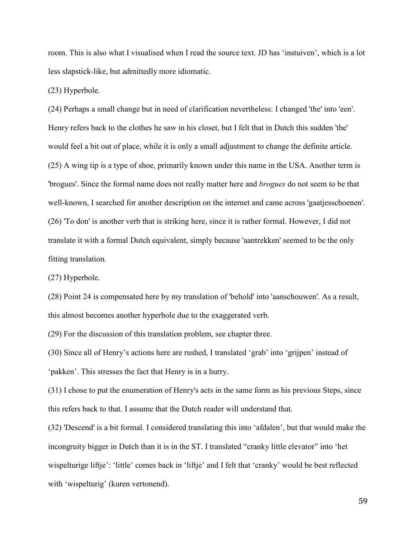room. This is also what I visualised when I read the source text. JD has 'instuiven', which is a lot less slapstick-like, but admittedly more idiomatic.

(23) Hyperbole.

(24) Perhaps a small change but in need of clarification nevertheless: I changed 'the' into 'een'. Henry refers back to the clothes he saw in his closet, but I felt that in Dutch this sudden 'the' would feel a bit out of place, while it is only a small adjustment to change the definite article. (25) A wing tip is a type of shoe, primarily known under this name in the USA. Another term is 'brogues'. Since the formal name does not really matter here and *brogues* do not seem to be that well-known, I searched for another description on the internet and came across 'gaatjesschoenen'. (26) 'To don' is another verb that is striking here, since it is rather formal. However, I did not translate it with a formal Dutch equivalent, simply because 'aantrekken' seemed to be the only fitting translation.

(27) Hyperbole.

(28) Point 24 is compensated here by my translation of 'behold' into 'aanschouwen'. As a result, this almost becomes another hyperbole due to the exaggerated verb.

(29) For the discussion of this translation problem, see chapter three.

(30) Since all of Henry's actions here are rushed, I translated 'grab' into 'grijpen' instead of 'pakken'. This stresses the fact that Henry is in a hurry.

(31) I chose to put the enumeration of Henry's acts in the same form as his previous Steps, since this refers back to that. I assume that the Dutch reader will understand that.

(32) 'Descend' is a bit formal. I considered translating this into 'afdalen', but that would make the incongruity bigger in Dutch than it is in the ST. I translated "cranky little elevator" into 'het wispelturige liftje': 'little' comes back in 'liftje' and I felt that 'cranky' would be best reflected with 'wispelturig' (kuren vertonend).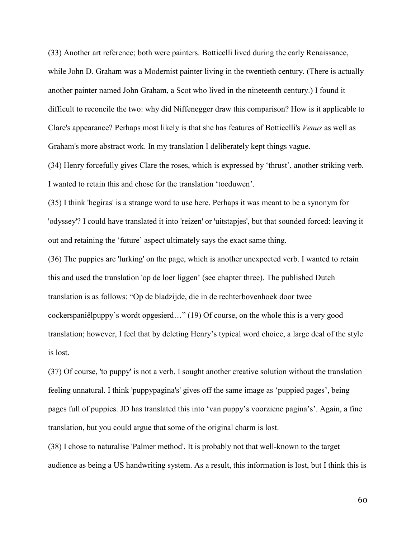(33) Another art reference; both were painters. Botticelli lived during the early Renaissance, while John D. Graham was a Modernist painter living in the twentieth century. (There is actually another painter named John Graham, a Scot who lived in the nineteenth century.) I found it difficult to reconcile the two: why did Niffenegger draw this comparison? How is it applicable to Clare's appearance? Perhaps most likely is that she has features of Botticelli's *Venus* as well as Graham's more abstract work. In my translation I deliberately kept things vague.

(34) Henry forcefully gives Clare the roses, which is expressed by 'thrust', another striking verb. I wanted to retain this and chose for the translation 'toeduwen'.

(35) I think 'hegiras' is a strange word to use here. Perhaps it was meant to be a synonym for 'odyssey'? I could have translated it into 'reizen' or 'uitstapjes', but that sounded forced: leaving it out and retaining the 'future' aspect ultimately says the exact same thing.

(36) The puppies are 'lurking' on the page, which is another unexpected verb. I wanted to retain this and used the translation 'op de loer liggen' (see chapter three). The published Dutch translation is as follows: "Op de bladzijde, die in de rechterbovenhoek door twee cockerspaniëlpuppy's wordt opgesierd…" (19) Of course, on the whole this is a very good translation; however, I feel that by deleting Henry's typical word choice, a large deal of the style is lost.

(37) Of course, 'to puppy' is not a verb. I sought another creative solution without the translation feeling unnatural. I think 'puppypagina's' gives off the same image as 'puppied pages', being pages full of puppies. JD has translated this into 'van puppy's voorziene pagina's'. Again, a fine translation, but you could argue that some of the original charm is lost.

(38) I chose to naturalise 'Palmer method'. It is probably not that well-known to the target audience as being a US handwriting system. As a result, this information is lost, but I think this is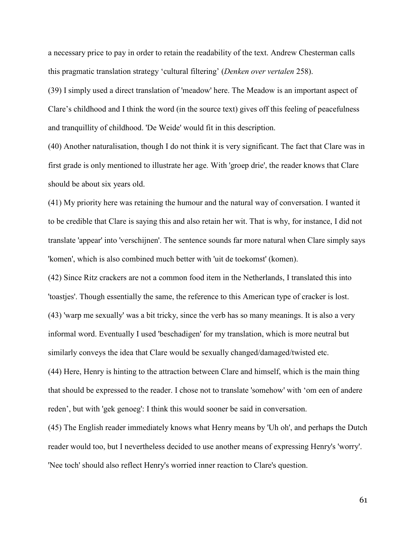a necessary price to pay in order to retain the readability of the text. Andrew Chesterman calls this pragmatic translation strategy 'cultural filtering' (*Denken over vertalen* 258).

(39) I simply used a direct translation of 'meadow' here. The Meadow is an important aspect of Clare's childhood and I think the word (in the source text) gives off this feeling of peacefulness and tranquillity of childhood. 'De Weide' would fit in this description.

(40) Another naturalisation, though I do not think it is very significant. The fact that Clare was in first grade is only mentioned to illustrate her age. With 'groep drie', the reader knows that Clare should be about six years old.

(41) My priority here was retaining the humour and the natural way of conversation. I wanted it to be credible that Clare is saying this and also retain her wit. That is why, for instance, I did not translate 'appear' into 'verschijnen'. The sentence sounds far more natural when Clare simply says 'komen', which is also combined much better with 'uit de toekomst' (komen).

(42) Since Ritz crackers are not a common food item in the Netherlands, I translated this into 'toastjes'. Though essentially the same, the reference to this American type of cracker is lost. (43) 'warp me sexually' was a bit tricky, since the verb has so many meanings. It is also a very informal word. Eventually I used 'beschadigen' for my translation, which is more neutral but similarly conveys the idea that Clare would be sexually changed/damaged/twisted etc. (44) Here, Henry is hinting to the attraction between Clare and himself, which is the main thing that should be expressed to the reader. I chose not to translate 'somehow' with 'om een of andere reden', but with 'gek genoeg': I think this would sooner be said in conversation.

(45) The English reader immediately knows what Henry means by 'Uh oh', and perhaps the Dutch reader would too, but I nevertheless decided to use another means of expressing Henry's 'worry'. 'Nee toch' should also reflect Henry's worried inner reaction to Clare's question.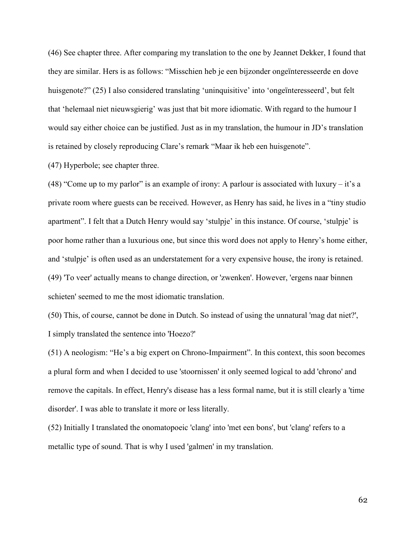(46) See chapter three. After comparing my translation to the one by Jeannet Dekker, I found that they are similar. Hers is as follows: "Misschien heb je een bijzonder ongeïnteresseerde en dove huisgenote?" (25) I also considered translating 'uninquisitive' into 'ongeïnteresseerd', but felt that 'helemaal niet nieuwsgierig' was just that bit more idiomatic. With regard to the humour I would say either choice can be justified. Just as in my translation, the humour in JD's translation is retained by closely reproducing Clare's remark "Maar ik heb een huisgenote".

(47) Hyperbole; see chapter three.

(48) "Come up to my parlor" is an example of irony: A parlour is associated with luxury – it's a private room where guests can be received. However, as Henry has said, he lives in a "tiny studio apartment". I felt that a Dutch Henry would say 'stulpje' in this instance. Of course, 'stulpje' is poor home rather than a luxurious one, but since this word does not apply to Henry's home either, and 'stulpje' is often used as an understatement for a very expensive house, the irony is retained. (49) 'To veer' actually means to change direction, or 'zwenken'. However, 'ergens naar binnen schieten' seemed to me the most idiomatic translation.

(50) This, of course, cannot be done in Dutch. So instead of using the unnatural 'mag dat niet?', I simply translated the sentence into 'Hoezo?'

(51) A neologism: "He's a big expert on Chrono-Impairment". In this context, this soon becomes a plural form and when I decided to use 'stoornissen' it only seemed logical to add 'chrono' and remove the capitals. In effect, Henry's disease has a less formal name, but it is still clearly a 'time disorder'. I was able to translate it more or less literally.

(52) Initially I translated the onomatopoeic 'clang' into 'met een bons', but 'clang' refers to a metallic type of sound. That is why I used 'galmen' in my translation.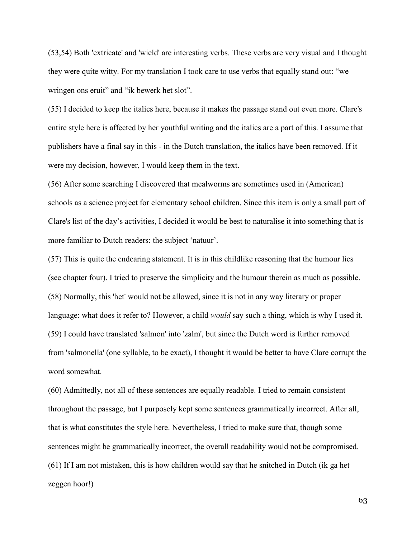(53,54) Both 'extricate' and 'wield' are interesting verbs. These verbs are very visual and I thought they were quite witty. For my translation I took care to use verbs that equally stand out: "we wringen ons eruit" and "ik bewerk het slot".

(55) I decided to keep the italics here, because it makes the passage stand out even more. Clare's entire style here is affected by her youthful writing and the italics are a part of this. I assume that publishers have a final say in this - in the Dutch translation, the italics have been removed. If it were my decision, however, I would keep them in the text.

(56) After some searching I discovered that mealworms are sometimes used in (American) schools as a science project for elementary school children. Since this item is only a small part of Clare's list of the day's activities, I decided it would be best to naturalise it into something that is more familiar to Dutch readers: the subject 'natuur'.

(57) This is quite the endearing statement. It is in this childlike reasoning that the humour lies (see chapter four). I tried to preserve the simplicity and the humour therein as much as possible. (58) Normally, this 'het' would not be allowed, since it is not in any way literary or proper language: what does it refer to? However, a child *would* say such a thing, which is why I used it. (59) I could have translated 'salmon' into 'zalm', but since the Dutch word is further removed from 'salmonella' (one syllable, to be exact), I thought it would be better to have Clare corrupt the word somewhat.

(60) Admittedly, not all of these sentences are equally readable. I tried to remain consistent throughout the passage, but I purposely kept some sentences grammatically incorrect. After all, that is what constitutes the style here. Nevertheless, I tried to make sure that, though some sentences might be grammatically incorrect, the overall readability would not be compromised. (61) If I am not mistaken, this is how children would say that he snitched in Dutch (ik ga het zeggen hoor!)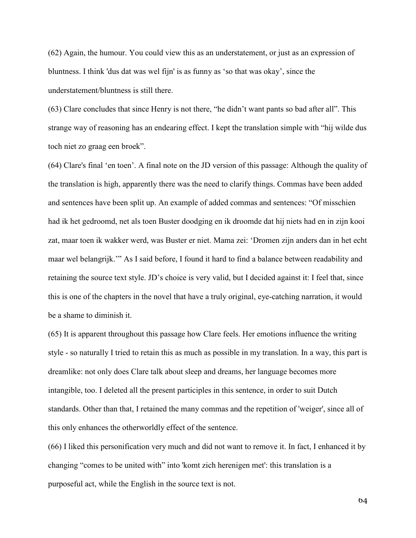(62) Again, the humour. You could view this as an understatement, or just as an expression of bluntness. I think 'dus dat was wel fijn' is as funny as 'so that was okay', since the understatement/bluntness is still there.

(63) Clare concludes that since Henry is not there, "he didn't want pants so bad after all". This strange way of reasoning has an endearing effect. I kept the translation simple with "hij wilde dus toch niet zo graag een broek".

(64) Clare's final 'en toen'. A final note on the JD version of this passage: Although the quality of the translation is high, apparently there was the need to clarify things. Commas have been added and sentences have been split up. An example of added commas and sentences: "Of misschien had ik het gedroomd, net als toen Buster doodging en ik droomde dat hij niets had en in zijn kooi zat, maar toen ik wakker werd, was Buster er niet. Mama zei: 'Dromen zijn anders dan in het echt maar wel belangrijk.'" As I said before, I found it hard to find a balance between readability and retaining the source text style. JD's choice is very valid, but I decided against it: I feel that, since this is one of the chapters in the novel that have a truly original, eye-catching narration, it would be a shame to diminish it.

(65) It is apparent throughout this passage how Clare feels. Her emotions influence the writing style - so naturally I tried to retain this as much as possible in my translation. In a way, this part is dreamlike: not only does Clare talk about sleep and dreams, her language becomes more intangible, too. I deleted all the present participles in this sentence, in order to suit Dutch standards. Other than that, I retained the many commas and the repetition of 'weiger', since all of this only enhances the otherworldly effect of the sentence.

(66) I liked this personification very much and did not want to remove it. In fact, I enhanced it by changing "comes to be united with" into 'komt zich herenigen met': this translation is a purposeful act, while the English in the source text is not.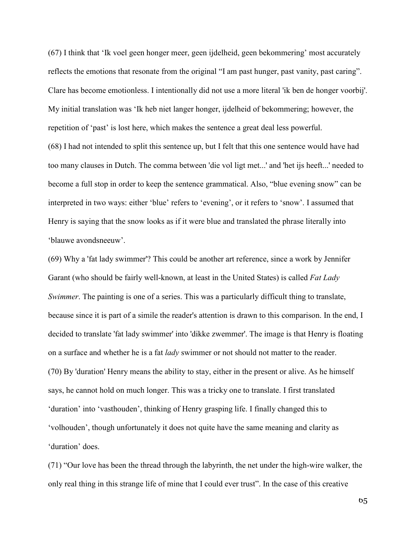(67) I think that 'Ik voel geen honger meer, geen ijdelheid, geen bekommering' most accurately reflects the emotions that resonate from the original "I am past hunger, past vanity, past caring". Clare has become emotionless. I intentionally did not use a more literal 'ik ben de honger voorbij'. My initial translation was 'Ik heb niet langer honger, ijdelheid of bekommering; however, the repetition of 'past' is lost here, which makes the sentence a great deal less powerful. (68) I had not intended to split this sentence up, but I felt that this one sentence would have had too many clauses in Dutch. The comma between 'die vol ligt met...' and 'het ijs heeft...' needed to become a full stop in order to keep the sentence grammatical. Also, "blue evening snow" can be interpreted in two ways: either 'blue' refers to 'evening', or it refers to 'snow'. I assumed that Henry is saying that the snow looks as if it were blue and translated the phrase literally into 'blauwe avondsneeuw'.

(69) Why a 'fat lady swimmer'? This could be another art reference, since a work by Jennifer Garant (who should be fairly well-known, at least in the United States) is called *Fat Lady Swimmer*. The painting is one of a series. This was a particularly difficult thing to translate, because since it is part of a simile the reader's attention is drawn to this comparison. In the end, I decided to translate 'fat lady swimmer' into 'dikke zwemmer'. The image is that Henry is floating on a surface and whether he is a fat *lady* swimmer or not should not matter to the reader. (70) By 'duration' Henry means the ability to stay, either in the present or alive. As he himself says, he cannot hold on much longer. This was a tricky one to translate. I first translated 'duration' into 'vasthouden', thinking of Henry grasping life. I finally changed this to 'volhouden', though unfortunately it does not quite have the same meaning and clarity as 'duration' does.

(71) "Our love has been the thread through the labyrinth, the net under the high-wire walker, the only real thing in this strange life of mine that I could ever trust". In the case of this creative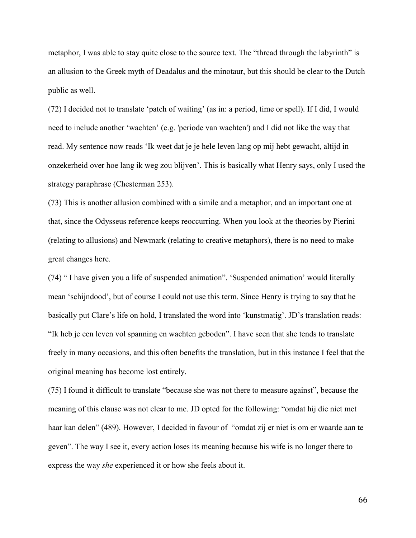metaphor, I was able to stay quite close to the source text. The "thread through the labyrinth" is an allusion to the Greek myth of Deadalus and the minotaur, but this should be clear to the Dutch public as well.

(72) I decided not to translate 'patch of waiting' (as in: a period, time or spell). If I did, I would need to include another 'wachten' (e.g. 'periode van wachten') and I did not like the way that read. My sentence now reads 'Ik weet dat je je hele leven lang op mij hebt gewacht, altijd in onzekerheid over hoe lang ik weg zou blijven'. This is basically what Henry says, only I used the strategy paraphrase (Chesterman 253).

(73) This is another allusion combined with a simile and a metaphor, and an important one at that, since the Odysseus reference keeps reoccurring. When you look at the theories by Pierini (relating to allusions) and Newmark (relating to creative metaphors), there is no need to make great changes here.

(74) " I have given you a life of suspended animation". 'Suspended animation' would literally mean 'schijndood', but of course I could not use this term. Since Henry is trying to say that he basically put Clare's life on hold, I translated the word into 'kunstmatig'. JD's translation reads: "Ik heb je een leven vol spanning en wachten geboden". I have seen that she tends to translate freely in many occasions, and this often benefits the translation, but in this instance I feel that the original meaning has become lost entirely.

(75) I found it difficult to translate "because she was not there to measure against", because the meaning of this clause was not clear to me. JD opted for the following: "omdat hij die niet met haar kan delen" (489). However, I decided in favour of "omdat zij er niet is om er waarde aan te geven". The way I see it, every action loses its meaning because his wife is no longer there to express the way *she* experienced it or how she feels about it.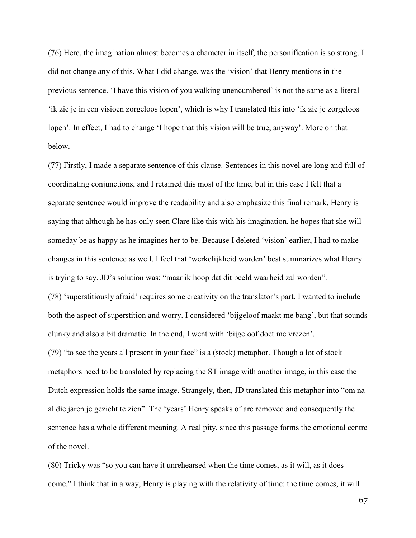(76) Here, the imagination almost becomes a character in itself, the personification is so strong. I did not change any of this. What I did change, was the 'vision' that Henry mentions in the previous sentence. 'I have this vision of you walking unencumbered' is not the same as a literal 'ik zie je in een visioen zorgeloos lopen', which is why I translated this into 'ik zie je zorgeloos lopen'. In effect, I had to change 'I hope that this vision will be true, anyway'. More on that below.

(77) Firstly, I made a separate sentence of this clause. Sentences in this novel are long and full of coordinating conjunctions, and I retained this most of the time, but in this case I felt that a separate sentence would improve the readability and also emphasize this final remark. Henry is saying that although he has only seen Clare like this with his imagination, he hopes that she will someday be as happy as he imagines her to be. Because I deleted 'vision' earlier, I had to make changes in this sentence as well. I feel that 'werkelijkheid worden' best summarizes what Henry is trying to say. JD's solution was: "maar ik hoop dat dit beeld waarheid zal worden". (78) 'superstitiously afraid' requires some creativity on the translator's part. I wanted to include both the aspect of superstition and worry. I considered 'bijgeloof maakt me bang', but that sounds clunky and also a bit dramatic. In the end, I went with 'bijgeloof doet me vrezen'. (79) "to see the years all present in your face" is a (stock) metaphor. Though a lot of stock metaphors need to be translated by replacing the ST image with another image, in this case the Dutch expression holds the same image. Strangely, then, JD translated this metaphor into "om na al die jaren je gezicht te zien". The 'years' Henry speaks of are removed and consequently the sentence has a whole different meaning. A real pity, since this passage forms the emotional centre of the novel.

(80) Tricky was "so you can have it unrehearsed when the time comes, as it will, as it does come." I think that in a way, Henry is playing with the relativity of time: the time comes, it will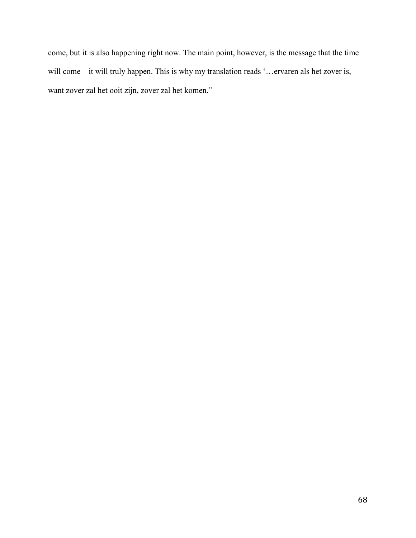come, but it is also happening right now. The main point, however, is the message that the time will come – it will truly happen. This is why my translation reads '... ervaren als het zover is, want zover zal het ooit zijn, zover zal het komen."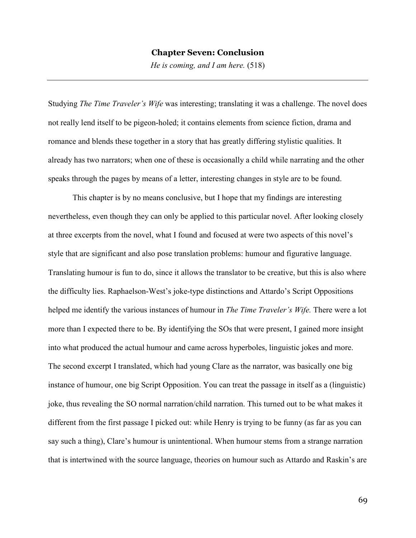*He is coming, and I am here.* (518)

Studying *The Time Traveler's Wife* was interesting; translating it was a challenge. The novel does not really lend itself to be pigeon-holed; it contains elements from science fiction, drama and romance and blends these together in a story that has greatly differing stylistic qualities. It already has two narrators; when one of these is occasionally a child while narrating and the other speaks through the pages by means of a letter, interesting changes in style are to be found.

 This chapter is by no means conclusive, but I hope that my findings are interesting nevertheless, even though they can only be applied to this particular novel. After looking closely at three excerpts from the novel, what I found and focused at were two aspects of this novel's style that are significant and also pose translation problems: humour and figurative language. Translating humour is fun to do, since it allows the translator to be creative, but this is also where the difficulty lies. Raphaelson-West's joke-type distinctions and Attardo's Script Oppositions helped me identify the various instances of humour in *The Time Traveler's Wife.* There were a lot more than I expected there to be. By identifying the SOs that were present, I gained more insight into what produced the actual humour and came across hyperboles, linguistic jokes and more. The second excerpt I translated, which had young Clare as the narrator, was basically one big instance of humour, one big Script Opposition. You can treat the passage in itself as a (linguistic) joke, thus revealing the SO normal narration/child narration. This turned out to be what makes it different from the first passage I picked out: while Henry is trying to be funny (as far as you can say such a thing), Clare's humour is unintentional. When humour stems from a strange narration that is intertwined with the source language, theories on humour such as Attardo and Raskin's are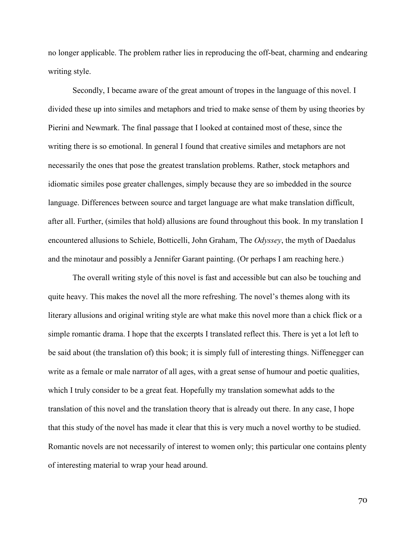no longer applicable. The problem rather lies in reproducing the off-beat, charming and endearing writing style.

 Secondly, I became aware of the great amount of tropes in the language of this novel. I divided these up into similes and metaphors and tried to make sense of them by using theories by Pierini and Newmark. The final passage that I looked at contained most of these, since the writing there is so emotional. In general I found that creative similes and metaphors are not necessarily the ones that pose the greatest translation problems. Rather, stock metaphors and idiomatic similes pose greater challenges, simply because they are so imbedded in the source language. Differences between source and target language are what make translation difficult, after all. Further, (similes that hold) allusions are found throughout this book. In my translation I encountered allusions to Schiele, Botticelli, John Graham, The *Odyssey*, the myth of Daedalus and the minotaur and possibly a Jennifer Garant painting. (Or perhaps I am reaching here.)

 The overall writing style of this novel is fast and accessible but can also be touching and quite heavy. This makes the novel all the more refreshing. The novel's themes along with its literary allusions and original writing style are what make this novel more than a chick flick or a simple romantic drama. I hope that the excerpts I translated reflect this. There is yet a lot left to be said about (the translation of) this book; it is simply full of interesting things. Niffenegger can write as a female or male narrator of all ages, with a great sense of humour and poetic qualities, which I truly consider to be a great feat. Hopefully my translation somewhat adds to the translation of this novel and the translation theory that is already out there. In any case, I hope that this study of the novel has made it clear that this is very much a novel worthy to be studied. Romantic novels are not necessarily of interest to women only; this particular one contains plenty of interesting material to wrap your head around.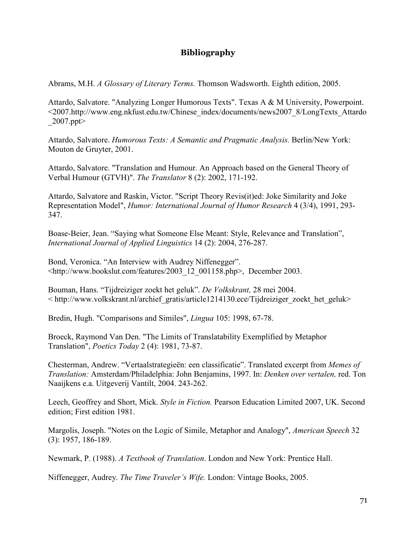## **Bibliography**

Abrams, M.H. *A Glossary of Literary Terms.* Thomson Wadsworth. Eighth edition, 2005.

Attardo, Salvatore. "Analyzing Longer Humorous Texts". Texas A & M University, Powerpoint. <2007.http://www.eng.nkfust.edu.tw/Chinese\_index/documents/news2007\_8/LongTexts\_Attardo \_2007.ppt>

Attardo, Salvatore. *Humorous Texts: A Semantic and Pragmatic Analysis.* Berlin/New York: Mouton de Gruyter, 2001.

Attardo, Salvatore. "Translation and Humour. An Approach based on the General Theory of Verbal Humour (GTVH)". *The Translator* 8 (2): 2002, 171-192.

Attardo, Salvatore and Raskin, Victor. "Script Theory Revis(it)ed: Joke Similarity and Joke Representation Model", *Humor: International Journal of Humor Research* 4 (3/4), 1991, 293- 347.

Boase-Beier, Jean. "Saying what Someone Else Meant: Style, Relevance and Translation", *International Journal of Applied Linguistics* 14 (2): 2004, 276-287.

Bond, Veronica. "An Interview with Audrey Niffenegger". <http://www.bookslut.com/features/2003\_12\_001158.php>, December 2003.

Bouman, Hans. "Tijdreiziger zoekt het geluk". *De Volkskrant,* 28 mei 2004. < http://www.volkskrant.nl/archief\_gratis/article1214130.ece/Tijdreiziger\_zoekt\_het\_geluk>

Bredin, Hugh. "Comparisons and Similes", *Lingua* 105: 1998, 67-78.

Broeck, Raymond Van Den. "The Limits of Translatability Exemplified by Metaphor Translation", *Poetics Today* 2 (4): 1981, 73-87.

Chesterman, Andrew. "Vertaalstrategieën: een classificatie". Translated excerpt from *Memes of Translation:* Amsterdam/Philadelphia: John Benjamins, 1997. In: *Denken over vertalen,* red. Ton Naaijkens e.a. Uitgeverij Vantilt, 2004. 243-262.

Leech, Geoffrey and Short, Mick. *Style in Fiction.* Pearson Education Limited 2007, UK. Second edition; First edition 1981.

Margolis, Joseph. "Notes on the Logic of Simile, Metaphor and Analogy", *American Speech* 32 (3): 1957, 186-189.

Newmark, P. (1988). *A Textbook of Translation*. London and New York: Prentice Hall.

Niffenegger, Audrey. *The Time Traveler's Wife.* London: Vintage Books, 2005.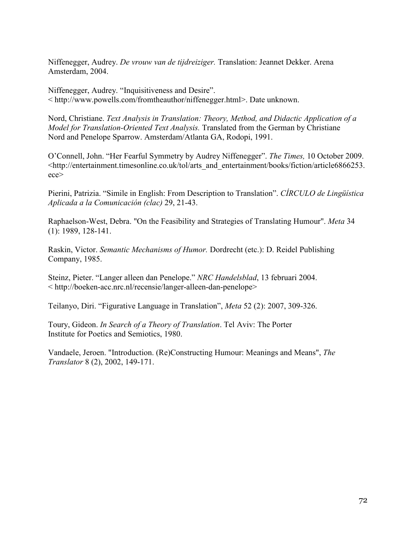Niffenegger, Audrey. *De vrouw van de tijdreiziger.* Translation: Jeannet Dekker. Arena Amsterdam, 2004.

Niffenegger, Audrey. "Inquisitiveness and Desire". < http://www.powells.com/fromtheauthor/niffenegger.html>. Date unknown.

Nord, Christiane. *Text Analysis in Translation: Theory, Method, and Didactic Application of a Model for Translation-Oriented Text Analysis.* Translated from the German by Christiane Nord and Penelope Sparrow. Amsterdam/Atlanta GA, Rodopi, 1991.

O'Connell, John. "Her Fearful Symmetry by Audrey Niffenegger". *The Times,* 10 October 2009. <http://entertainment.timesonline.co.uk/tol/arts\_and\_entertainment/books/fiction/article6866253. ece>

Pierini, Patrizia. "Simile in English: From Description to Translation". *CÍRCULO de Lingüística Aplicada a la Comunicación (clac)* 29, 21-43.

Raphaelson-West, Debra. "On the Feasibility and Strategies of Translating Humour". *Meta* 34 (1): 1989, 128-141.

Raskin, Victor. *Semantic Mechanisms of Humor.* Dordrecht (etc.): D. Reidel Publishing Company, 1985.

Steinz, Pieter. "Langer alleen dan Penelope." *NRC Handelsblad*, 13 februari 2004. < http://boeken-acc.nrc.nl/recensie/langer-alleen-dan-penelope>

Teilanyo, Diri. "Figurative Language in Translation", *Meta* 52 (2): 2007, 309-326.

Toury, Gideon. *In Search of a Theory of Translation*. Tel Aviv: The Porter Institute for Poetics and Semiotics, 1980.

Vandaele, Jeroen. "Introduction. (Re)Constructing Humour: Meanings and Means", *The Translator* 8 (2), 2002, 149-171.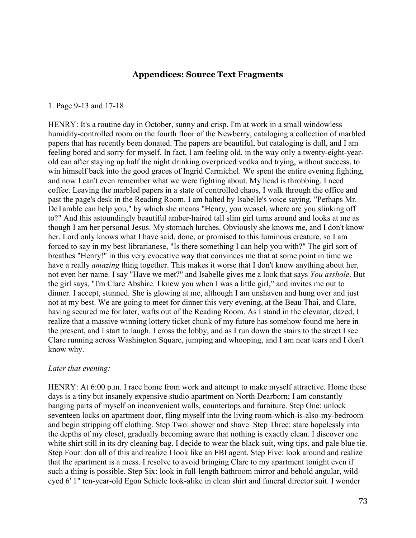# **Appendices: Source Text Fragments**

#### 1. Page 9-13 and 17-18

HENRY: It's a routine day in October, sunny and crisp. I'm at work in a small windowless humidity-controlled room on the fourth floor of the Newberry, cataloging a collection of marbled papers that has recently been donated. The papers are beautiful, but cataloging is dull, and I am feeling bored and sorry for myself. In fact, I am feeling old, in the way only a twenty-eight-yearold can after staying up half the night drinking overpriced vodka and trying, without success, to win himself back into the good graces of Ingrid Carmichel. We spent the entire evening fighting, and now I can't even remember what we were fighting about. My head is throbbing. I need coffee. Leaving the marbled papers in a state of controlled chaos, I walk through the office and past the page's desk in the Reading Room. I am halted by Isabelle's voice saying, "Perhaps Mr. DeTamble can help you," by which she means "Henry, you weasel, where are you slinking off to?" And this astoundingly beautiful amber-haired tall slim girl turns around and looks at me as though I am her personal Jesus. My stomach lurches. Obviously she knows me, and I don't know her. Lord only knows what I have said, done, or promised to this luminous creature, so I am forced to say in my best librarianese, "Is there something I can help you with?" The girl sort of breathes "Henry!" in this very evocative way that convinces me that at some point in time we have a really *amazing* thing together. This makes it worse that I don't know anything about her, not even her name. I say "Have we met?" and Isabelle gives me a look that says *You asshole*. But the girl says, "I'm Clare Abshire. I knew you when I was a little girl," and invites me out to dinner. I accept, stunned. She is glowing at me, although I am unshaven and hung over and just not at my best. We are going to meet for dinner this very evening, at the Beau Thai, and Clare, having secured me for later, wafts out of the Reading Room. As I stand in the elevator, dazed, I realize that a massive winning lottery ticket chunk of my future has somehow found me here in the present, and I start to laugh. I cross the lobby, and as I run down the stairs to the street I see Clare running across Washington Square, jumping and whooping, and I am near tears and I don't know why.

## *Later that evening:*

HENRY: At 6:00 p.m. I race home from work and attempt to make myself attractive. Home these days is a tiny but insanely expensive studio apartment on North Dearborn; I am constantly banging parts of myself on inconvenient walls, countertops and furniture. Step One: unlock seventeen locks on apartment door, fling myself into the living room-which-is-also-my-bedroom and begin stripping off clothing. Step Two: shower and shave. Step Three: stare hopelessly into the depths of my closet, gradually becoming aware that nothing is exactly clean. I discover one white shirt still in its dry cleaning bag. I decide to wear the black suit, wing tips, and pale blue tie. Step Four: don all of this and realize I look like an FBI agent. Step Five: look around and realize that the apartment is a mess. I resolve to avoid bringing Clare to my apartment tonight even if such a thing is possible. Step Six: look in full-length bathroom mirror and behold angular, wildeyed 6' 1" ten-year-old Egon Schiele look-alike in clean shirt and funeral director suit. I wonder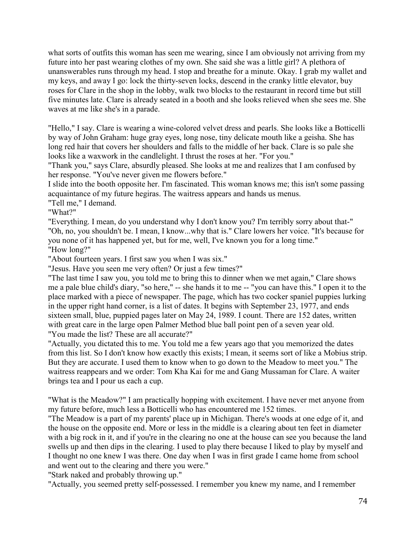what sorts of outfits this woman has seen me wearing, since I am obviously not arriving from my future into her past wearing clothes of my own. She said she was a little girl? A plethora of unanswerables runs through my head. I stop and breathe for a minute. Okay. I grab my wallet and my keys, and away I go: lock the thirty-seven locks, descend in the cranky little elevator, buy roses for Clare in the shop in the lobby, walk two blocks to the restaurant in record time but still five minutes late. Clare is already seated in a booth and she looks relieved when she sees me. She waves at me like she's in a parade.

"Hello," I say. Clare is wearing a wine-colored velvet dress and pearls. She looks like a Botticelli by way of John Graham: huge gray eyes, long nose, tiny delicate mouth like a geisha. She has long red hair that covers her shoulders and falls to the middle of her back. Clare is so pale she looks like a waxwork in the candlelight. I thrust the roses at her. "For you."

"Thank you," says Clare, absurdly pleased. She looks at me and realizes that I am confused by her response. "You've never given me flowers before."

I slide into the booth opposite her. I'm fascinated. This woman knows me; this isn't some passing acquaintance of my future hegiras. The waitress appears and hands us menus.

"Tell me," I demand.

"What?"

"Everything. I mean, do you understand why I don't know you? I'm terribly sorry about that-" "Oh, no, you shouldn't be. I mean, I know...why that is." Clare lowers her voice. "It's because for you none of it has happened yet, but for me, well, I've known you for a long time." "How long?"

"About fourteen years. I first saw you when I was six."

"Jesus. Have you seen me very often? Or just a few times?"

"The last time I saw you, you told me to bring this to dinner when we met again," Clare shows me a pale blue child's diary, "so here," -- she hands it to me -- "you can have this." I open it to the place marked with a piece of newspaper. The page, which has two cocker spaniel puppies lurking in the upper right hand corner, is a list of dates. It begins with September 23, 1977, and ends sixteen small, blue, puppied pages later on May 24, 1989. I count. There are 152 dates, written with great care in the large open Palmer Method blue ball point pen of a seven year old. "You made the list? These are all accurate?"

"Actually, you dictated this to me. You told me a few years ago that you memorized the dates from this list. So I don't know how exactly this exists; I mean, it seems sort of like a Mobius strip. But they are accurate. I used them to know when to go down to the Meadow to meet you." The waitress reappears and we order: Tom Kha Kai for me and Gang Mussaman for Clare. A waiter brings tea and I pour us each a cup.

"What is the Meadow?" I am practically hopping with excitement. I have never met anyone from my future before, much less a Botticelli who has encountered me 152 times.

"The Meadow is a part of my parents' place up in Michigan. There's woods at one edge of it, and the house on the opposite end. More or less in the middle is a clearing about ten feet in diameter with a big rock in it, and if you're in the clearing no one at the house can see you because the land swells up and then dips in the clearing. I used to play there because I liked to play by myself and I thought no one knew I was there. One day when I was in first grade I came home from school and went out to the clearing and there you were."

"Stark naked and probably throwing up."

"Actually, you seemed pretty self-possessed. I remember you knew my name, and I remember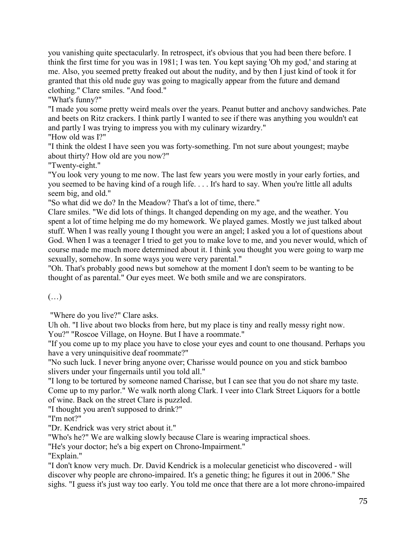you vanishing quite spectacularly. In retrospect, it's obvious that you had been there before. I think the first time for you was in 1981; I was ten. You kept saying 'Oh my god,' and staring at me. Also, you seemed pretty freaked out about the nudity, and by then I just kind of took it for granted that this old nude guy was going to magically appear from the future and demand clothing." Clare smiles. "And food."

"What's funny?"

"I made you some pretty weird meals over the years. Peanut butter and anchovy sandwiches. Pate and beets on Ritz crackers. I think partly I wanted to see if there was anything you wouldn't eat and partly I was trying to impress you with my culinary wizardry."

"How old was I?"

"I think the oldest I have seen you was forty-something. I'm not sure about youngest; maybe about thirty? How old are you now?"

"Twenty-eight."

"You look very young to me now. The last few years you were mostly in your early forties, and you seemed to be having kind of a rough life. . . . It's hard to say. When you're little all adults seem big, and old."

"So what did we do? In the Meadow? That's a lot of time, there."

Clare smiles. "We did lots of things. It changed depending on my age, and the weather. You spent a lot of time helping me do my homework. We played games. Mostly we just talked about stuff. When I was really young I thought you were an angel; I asked you a lot of questions about God. When I was a teenager I tried to get you to make love to me, and you never would, which of course made me much more determined about it. I think you thought you were going to warp me sexually, somehow. In some ways you were very parental."

"Oh. That's probably good news but somehow at the moment I don't seem to be wanting to be thought of as parental." Our eyes meet. We both smile and we are conspirators.

 $(\ldots)$ 

"Where do you live?" Clare asks.

Uh oh. "I live about two blocks from here, but my place is tiny and really messy right now. You?" "Roscoe Village, on Hoyne. But I have a roommate."

"If you come up to my place you have to close your eyes and count to one thousand. Perhaps you have a very uninquisitive deaf roommate?"

"No such luck. I never bring anyone over; Charisse would pounce on you and stick bamboo slivers under your fingernails until you told all."

"I long to be tortured by someone named Charisse, but I can see that you do not share my taste. Come up to my parlor." We walk north along Clark. I veer into Clark Street Liquors for a bottle of wine. Back on the street Clare is puzzled.

"I thought you aren't supposed to drink?"

"I'm not?"

"Dr. Kendrick was very strict about it."

"Who's he?" We are walking slowly because Clare is wearing impractical shoes.

"He's your doctor; he's a big expert on Chrono-Impairment."

"Explain."

"I don't know very much. Dr. David Kendrick is a molecular geneticist who discovered - will discover why people are chrono-impaired. It's a genetic thing; he figures it out in 2006." She sighs. "I guess it's just way too early. You told me once that there are a lot more chrono-impaired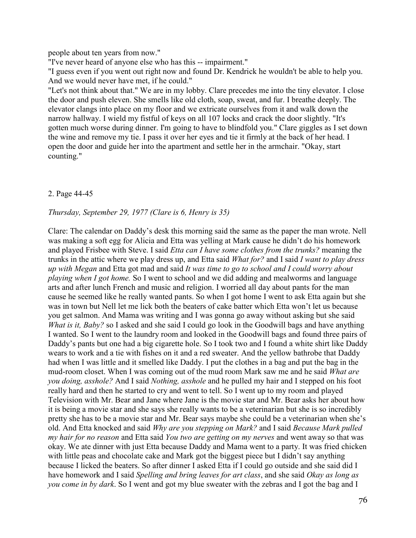people about ten years from now."

"I've never heard of anyone else who has this -- impairment."

"I guess even if you went out right now and found Dr. Kendrick he wouldn't be able to help you. And we would never have met, if he could."

"Let's not think about that." We are in my lobby. Clare precedes me into the tiny elevator. I close the door and push eleven. She smells like old cloth, soap, sweat, and fur. I breathe deeply. The elevator clangs into place on my floor and we extricate ourselves from it and walk down the narrow hallway. I wield my fistful of keys on all 107 locks and crack the door slightly. "It's gotten much worse during dinner. I'm going to have to blindfold you." Clare giggles as I set down the wine and remove my tie. I pass it over her eyes and tie it firmly at the back of her head. I open the door and guide her into the apartment and settle her in the armchair. "Okay, start counting."

## 2. Page 44-45

#### *Thursday, September 29, 1977 (Clare is 6, Henry is 35)*

Clare: The calendar on Daddy's desk this morning said the same as the paper the man wrote. Nell was making a soft egg for Alicia and Etta was yelling at Mark cause he didn't do his homework and played Frisbee with Steve. I said *Etta can I have some clothes from the trunks?* meaning the trunks in the attic where we play dress up, and Etta said *What for?* and I said *I want to play dress up with Megan* and Etta got mad and said *It was time to go to school and I could worry about playing when I got home.* So I went to school and we did adding and mealworms and language arts and after lunch French and music and religion. I worried all day about pants for the man cause he seemed like he really wanted pants. So when I got home I went to ask Etta again but she was in town but Nell let me lick both the beaters of cake batter which Etta won't let us because you get salmon. And Mama was writing and I was gonna go away without asking but she said *What is it, Baby?* so I asked and she said I could go look in the Goodwill bags and have anything I wanted. So I went to the laundry room and looked in the Goodwill bags and found three pairs of Daddy's pants but one had a big cigarette hole. So I took two and I found a white shirt like Daddy wears to work and a tie with fishes on it and a red sweater. And the yellow bathrobe that Daddy had when I was little and it smelled like Daddy. I put the clothes in a bag and put the bag in the mud-room closet. When I was coming out of the mud room Mark saw me and he said *What are you doing, asshole?* And I said *Nothing, asshole* and he pulled my hair and I stepped on his foot really hard and then he started to cry and went to tell. So I went up to my room and played Television with Mr. Bear and Jane where Jane is the movie star and Mr. Bear asks her about how it is being a movie star and she says she really wants to be a veterinarian but she is so incredibly pretty she has to be a movie star and Mr. Bear says maybe she could be a veterinarian when she's old. And Etta knocked and said *Why are you stepping on Mark?* and I said *Because Mark pulled my hair for no reason* and Etta said *You two are getting on my nerves* and went away so that was okay. We ate dinner with just Etta because Daddy and Mama went to a party. It was fried chicken with little peas and chocolate cake and Mark got the biggest piece but I didn't say anything because I licked the beaters. So after dinner I asked Etta if I could go outside and she said did I have homework and I said *Spelling and bring leaves for art class*, and she said *Okay as long as you come in by dark*. So I went and got my blue sweater with the zebras and I got the bag and I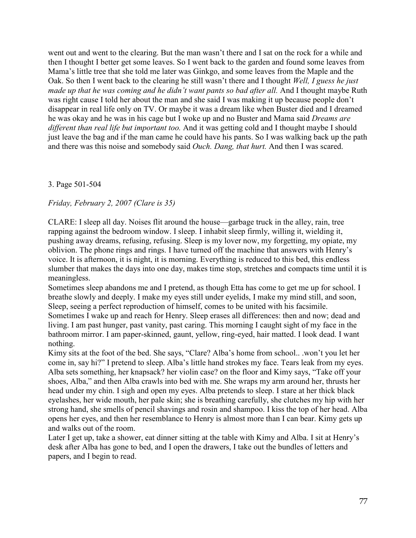went out and went to the clearing. But the man wasn't there and I sat on the rock for a while and then I thought I better get some leaves. So I went back to the garden and found some leaves from Mama's little tree that she told me later was Ginkgo, and some leaves from the Maple and the Oak. So then I went back to the clearing he still wasn't there and I thought *Well, I guess he just made up that he was coming and he didn't want pants so bad after all.* And I thought maybe Ruth was right cause I told her about the man and she said I was making it up because people don't disappear in real life only on TV. Or maybe it was a dream like when Buster died and I dreamed he was okay and he was in his cage but I woke up and no Buster and Mama said *Dreams are different than real life but important too.* And it was getting cold and I thought maybe I should just leave the bag and if the man came he could have his pants. So I was walking back up the path and there was this noise and somebody said *Ouch. Dang, that hurt.* And then I was scared.

3. Page 501-504

# *Friday, February 2, 2007 (Clare is 35)*

CLARE: I sleep all day. Noises flit around the house—garbage truck in the alley, rain, tree rapping against the bedroom window. I sleep. I inhabit sleep firmly, willing it, wielding it, pushing away dreams, refusing, refusing. Sleep is my lover now, my forgetting, my opiate, my oblivion. The phone rings and rings. I have turned off the machine that answers with Henry's voice. It is afternoon, it is night, it is morning. Everything is reduced to this bed, this endless slumber that makes the days into one day, makes time stop, stretches and compacts time until it is meaningless.

Sometimes sleep abandons me and I pretend, as though Etta has come to get me up for school. I breathe slowly and deeply. I make my eyes still under eyelids, I make my mind still, and soon, Sleep, seeing a perfect reproduction of himself, comes to be united with his facsimile. Sometimes I wake up and reach for Henry. Sleep erases all differences: then and now; dead and living. I am past hunger, past vanity, past caring. This morning I caught sight of my face in the bathroom mirror. I am paper-skinned, gaunt, yellow, ring-eyed, hair matted. I look dead. I want nothing.

Kimy sits at the foot of the bed. She says, "Clare? Alba's home from school.. .won't you let her come in, say hi?" I pretend to sleep. Alba's little hand strokes my face. Tears leak from my eyes. Alba sets something, her knapsack? her violin case? on the floor and Kimy says, "Take off your shoes, Alba," and then Alba crawls into bed with me. She wraps my arm around her, thrusts her head under my chin. I sigh and open my eyes. Alba pretends to sleep. I stare at her thick black eyelashes, her wide mouth, her pale skin; she is breathing carefully, she clutches my hip with her strong hand, she smells of pencil shavings and rosin and shampoo. I kiss the top of her head. Alba opens her eyes, and then her resemblance to Henry is almost more than I can bear. Kimy gets up and walks out of the room.

Later I get up, take a shower, eat dinner sitting at the table with Kimy and Alba. I sit at Henry's desk after Alba has gone to bed, and I open the drawers, I take out the bundles of letters and papers, and I begin to read.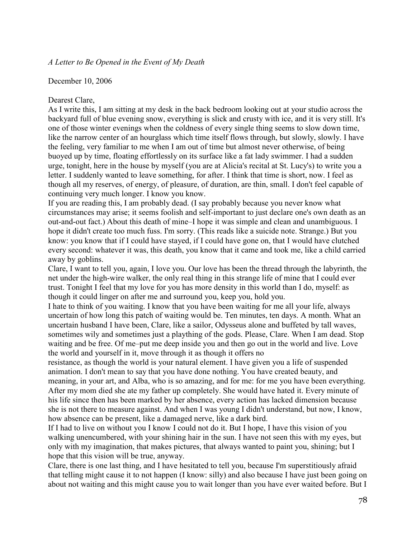## *A Letter to Be Opened in the Event of My Death*

## December 10, 2006

# Dearest Clare,

As I write this, I am sitting at my desk in the back bedroom looking out at your studio across the backyard full of blue evening snow, everything is slick and crusty with ice, and it is very still. It's one of those winter evenings when the coldness of every single thing seems to slow down time, like the narrow center of an hourglass which time itself flows through, but slowly, slowly. I have the feeling, very familiar to me when I am out of time but almost never otherwise, of being buoyed up by time, floating effortlessly on its surface like a fat lady swimmer. I had a sudden urge, tonight, here in the house by myself (you are at Alicia's recital at St. Lucy's) to write you a letter. I suddenly wanted to leave something, for after. I think that time is short, now. I feel as though all my reserves, of energy, of pleasure, of duration, are thin, small. I don't feel capable of continuing very much longer. I know you know.

If you are reading this, I am probably dead. (I say probably because you never know what circumstances may arise; it seems foolish and self-important to just declare one's own death as an out-and-out fact.) About this death of mine–I hope it was simple and clean and unambiguous. I hope it didn't create too much fuss. I'm sorry. (This reads like a suicide note. Strange.) But you know: you know that if I could have stayed, if I could have gone on, that I would have clutched every second: whatever it was, this death, you know that it came and took me, like a child carried away by goblins.

Clare, I want to tell you, again, I love you. Our love has been the thread through the labyrinth, the net under the high-wire walker, the only real thing in this strange life of mine that I could ever trust. Tonight I feel that my love for you has more density in this world than I do, myself: as though it could linger on after me and surround you, keep you, hold you.

I hate to think of you waiting. I know that you have been waiting for me all your life, always uncertain of how long this patch of waiting would be. Ten minutes, ten days. A month. What an uncertain husband I have been, Clare, like a sailor, Odysseus alone and buffeted by tall waves, sometimes wily and sometimes just a plaything of the gods. Please, Clare. When I am dead. Stop waiting and be free. Of me–put me deep inside you and then go out in the world and live. Love the world and yourself in it, move through it as though it offers no

resistance, as though the world is your natural element. I have given you a life of suspended animation. I don't mean to say that you have done nothing. You have created beauty, and meaning, in your art, and Alba, who is so amazing, and for me: for me you have been everything. After my mom died she ate my father up completely. She would have hated it. Every minute of his life since then has been marked by her absence, every action has lacked dimension because she is not there to measure against. And when I was young I didn't understand, but now, I know, how absence can be present, like a damaged nerve, like a dark bird.

If I had to live on without you I know I could not do it. But I hope, I have this vision of you walking unencumbered, with your shining hair in the sun. I have not seen this with my eyes, but only with my imagination, that makes pictures, that always wanted to paint you, shining; but I hope that this vision will be true, anyway.

Clare, there is one last thing, and I have hesitated to tell you, because I'm superstitiously afraid that telling might cause it to not happen (I know: silly) and also because I have just been going on about not waiting and this might cause you to wait longer than you have ever waited before. But I